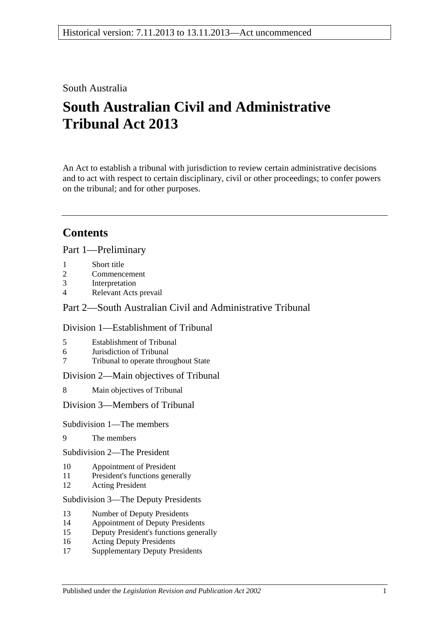## South Australia

# **South Australian Civil and Administrative Tribunal Act 2013**

An Act to establish a tribunal with jurisdiction to review certain administrative decisions and to act with respect to certain disciplinary, civil or other proceedings; to confer powers on the tribunal; and for other purposes.

## **Contents**

Part [1—Preliminary](#page-3-0)

- 1 [Short title](#page-3-1)
- 2 [Commencement](#page-3-2)
- 3 [Interpretation](#page-4-0)
- 4 [Relevant Acts prevail](#page-5-0)

### Part [2—South Australian Civil and Administrative Tribunal](#page-5-1)

### Division [1—Establishment of Tribunal](#page-5-2)

- 5 [Establishment of Tribunal](#page-5-3)
- 6 [Jurisdiction of Tribunal](#page-6-0)
- 7 [Tribunal to operate throughout State](#page-6-1)

Division [2—Main objectives of Tribunal](#page-6-2)

8 [Main objectives of Tribunal](#page-6-3)

Division [3—Members of Tribunal](#page-7-0)

### Subdivision [1—The members](#page-7-1)

9 [The members](#page-7-2)

Subdivision [2—The President](#page-7-3)

- 10 [Appointment of President](#page-7-4)
- 11 [President's functions generally](#page-8-0)
- 12 [Acting President](#page-9-0)

#### Subdivision [3—The Deputy Presidents](#page-9-1)

- 13 [Number of Deputy Presidents](#page-9-2)
- 14 [Appointment of Deputy Presidents](#page-9-3)
- 15 [Deputy President's functions generally](#page-11-0)
- 16 [Acting Deputy Presidents](#page-11-1)
- 17 [Supplementary Deputy Presidents](#page-12-0)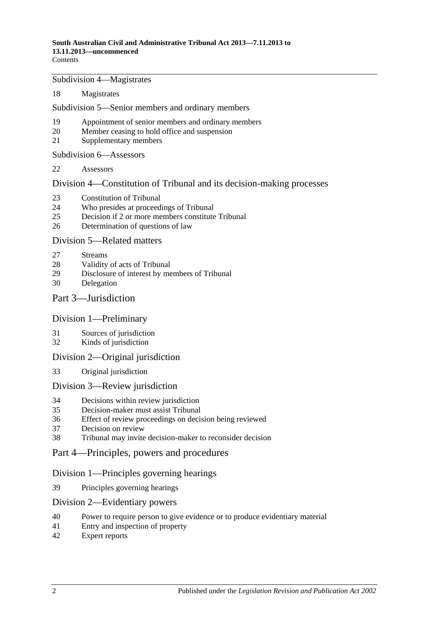Subdivision [4—Magistrates](#page-13-0)

[Magistrates](#page-13-1)

Subdivision [5—Senior members and ordinary members](#page-14-0)

- [Appointment of senior members and ordinary members](#page-14-1)
- [Member ceasing to hold office and suspension](#page-15-0)
- [Supplementary members](#page-16-0)

Subdivision [6—Assessors](#page-16-1)

[Assessors](#page-16-2)

Division [4—Constitution of Tribunal and its decision-making processes](#page-17-0)

- [Constitution of Tribunal](#page-17-1)
- [Who presides at proceedings of Tribunal](#page-18-0)
- [Decision if 2 or more members constitute Tribunal](#page-19-0)
- [Determination of questions of law](#page-19-1)

#### Division [5—Related matters](#page-19-2)

- [Streams](#page-19-3)
- [Validity of acts of Tribunal](#page-19-4)
- [Disclosure of interest by members of Tribunal](#page-19-5)
- [Delegation](#page-20-0)

#### Part [3—Jurisdiction](#page-20-1)

#### Division [1—Preliminary](#page-20-2)

- [Sources of jurisdiction](#page-20-3)
- [Kinds of jurisdiction](#page-20-4)

#### Division [2—Original jurisdiction](#page-21-0)

[Original jurisdiction](#page-21-1)

#### Division [3—Review jurisdiction](#page-21-2)

- [Decisions within review jurisdiction](#page-21-3)
- [Decision-maker must assist Tribunal](#page-22-0)
- [Effect of review proceedings on decision being reviewed](#page-22-1)
- [Decision on review](#page-23-0)
- [Tribunal may invite decision-maker to reconsider decision](#page-23-1)

#### Part [4—Principles, powers and procedures](#page-24-0)

#### Division [1—Principles governing hearings](#page-24-1)

[Principles governing hearings](#page-24-2)

#### Division [2—Evidentiary powers](#page-24-3)

- [Power to require person to give evidence or to produce evidentiary material](#page-24-4)
- [Entry and inspection of property](#page-25-0)
- [Expert reports](#page-26-0)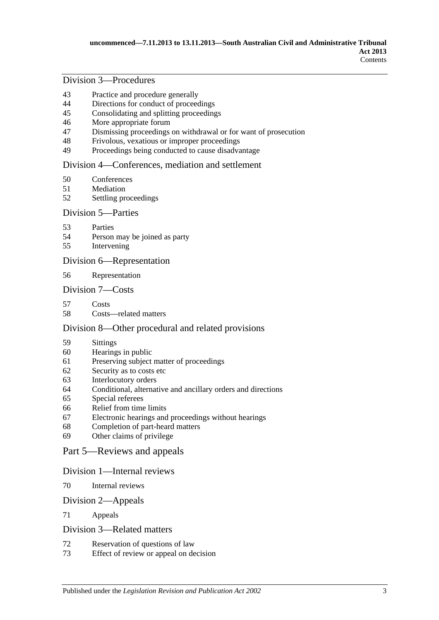### Division [3—Procedures](#page-26-1)

- [Practice and procedure generally](#page-26-2)
- [Directions for conduct of proceedings](#page-27-0)
- [Consolidating and splitting proceedings](#page-27-1)
- [More appropriate forum](#page-27-2)
- [Dismissing proceedings on withdrawal or for want of prosecution](#page-27-3)
- [Frivolous, vexatious or improper proceedings](#page-28-0)
- [Proceedings being conducted to cause disadvantage](#page-28-1)

#### Division [4—Conferences, mediation and settlement](#page-29-0)

- [Conferences](#page-29-1)
- [Mediation](#page-30-0)
- [Settling proceedings](#page-31-0)

#### Division [5—Parties](#page-31-1)

- [Parties](#page-31-2)
- [Person may be joined as party](#page-32-0)
- [Intervening](#page-32-1)

#### Division [6—Representation](#page-32-2)

[Representation](#page-32-3)

#### Division [7—Costs](#page-33-0)

- [Costs](#page-33-1)
- [Costs—related matters](#page-33-2)

#### Division [8—Other procedural and related provisions](#page-34-0)

- [Sittings](#page-34-1)
- [Hearings in public](#page-34-2)
- [Preserving subject matter of proceedings](#page-34-3)
- [Security as to costs etc](#page-35-0)
- [Interlocutory orders](#page-36-0)
- [Conditional, alternative and ancillary orders and directions](#page-36-1)
- [Special referees](#page-36-2)
- [Relief from time limits](#page-36-3)
- [Electronic hearings and proceedings without hearings](#page-36-4)
- [Completion of part-heard matters](#page-37-0)
- [Other claims of privilege](#page-37-1)

#### Part [5—Reviews and appeals](#page-37-2)

#### Division [1—Internal reviews](#page-37-3)

[Internal reviews](#page-37-4)

#### Division [2—Appeals](#page-38-0)

[Appeals](#page-38-1)

#### Division [3—Related matters](#page-38-2)

- [Reservation of questions of law](#page-38-3)<br>73 Effect of review or anneal on de
- [Effect of review or appeal on decision](#page-39-0)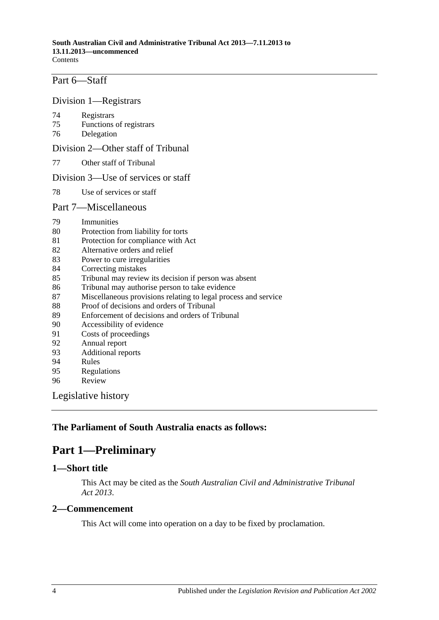## Part [6—Staff](#page-39-1)

#### Division [1—Registrars](#page-39-2)

- 74 [Registrars](#page-39-3)
- 75 [Functions of registrars](#page-40-0)
- 76 [Delegation](#page-40-1)

#### Division [2—Other staff of Tribunal](#page-40-2)

77 [Other staff of Tribunal](#page-40-3)

#### Division [3—Use of services or staff](#page-41-0)

78 [Use of services or staff](#page-41-1)

#### Part [7—Miscellaneous](#page-41-2)

- 79 [Immunities](#page-41-3)
- 80 [Protection from liability for torts](#page-41-4)
- 81 [Protection for compliance with Act](#page-41-5)
- 82 [Alternative orders and relief](#page-42-0)
- 83 [Power to cure irregularities](#page-42-1)
- 84 [Correcting mistakes](#page-42-2)<br>85 Tribunal may review
- [Tribunal may review its decision if person was absent](#page-42-3)
- 86 [Tribunal may authorise person to take evidence](#page-43-0)
- 87 [Miscellaneous provisions relating to legal process and service](#page-43-1)
- 88 [Proof of decisions and orders of Tribunal](#page-44-0)
- 89 [Enforcement of decisions and orders of Tribunal](#page-44-1)
- 90 [Accessibility of evidence](#page-44-2)<br>91 Costs of proceedings
- [Costs of proceedings](#page-45-0)
- 92 [Annual report](#page-45-1)
- 93 [Additional reports](#page-45-2)
- 94 [Rules](#page-45-3)
- 95 [Regulations](#page-46-0)
- 96 [Review](#page-47-0)

[Legislative history](#page-48-0)

### <span id="page-3-0"></span>**The Parliament of South Australia enacts as follows:**

## **Part 1—Preliminary**

#### <span id="page-3-1"></span>**1—Short title**

This Act may be cited as the *South Australian Civil and Administrative Tribunal Act 2013*.

#### <span id="page-3-2"></span>**2—Commencement**

This Act will come into operation on a day to be fixed by proclamation.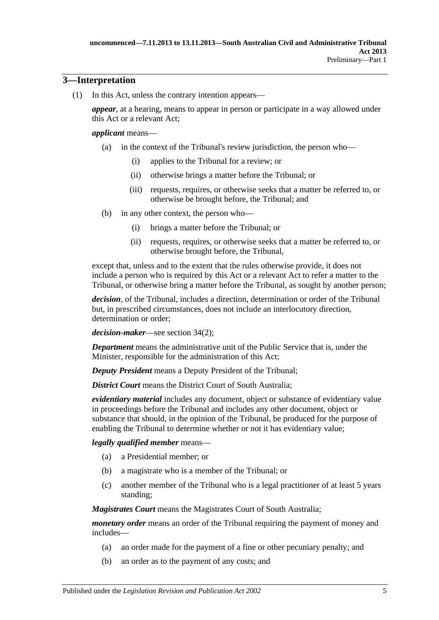### <span id="page-4-0"></span>**3—Interpretation**

(1) In this Act, unless the contrary intention appears—

*appear*, at a hearing, means to appear in person or participate in a way allowed under this Act or a relevant Act;

#### *applicant* means—

- (a) in the context of the Tribunal's review jurisdiction, the person who—
	- (i) applies to the Tribunal for a review; or
	- (ii) otherwise brings a matter before the Tribunal; or
	- (iii) requests, requires, or otherwise seeks that a matter be referred to, or otherwise be brought before, the Tribunal; and
- (b) in any other context, the person who—
	- (i) brings a matter before the Tribunal; or
	- (ii) requests, requires, or otherwise seeks that a matter be referred to, or otherwise brought before, the Tribunal,

except that, unless and to the extent that the rules otherwise provide, it does not include a person who is required by this Act or a relevant Act to refer a matter to the Tribunal, or otherwise bring a matter before the Tribunal, as sought by another person;

*decision*, of the Tribunal, includes a direction, determination or order of the Tribunal but, in prescribed circumstances, does not include an interlocutory direction, determination or order;

*decision-maker*—see [section](#page-21-4) 34(2);

*Department* means the administrative unit of the Public Service that is, under the Minister, responsible for the administration of this Act;

*Deputy President* means a Deputy President of the Tribunal;

**District Court** means the District Court of South Australia:

*evidentiary material* includes any document, object or substance of evidentiary value in proceedings before the Tribunal and includes any other document, object or substance that should, in the opinion of the Tribunal, be produced for the purpose of enabling the Tribunal to determine whether or not it has evidentiary value;

#### *legally qualified member* means—

- (a) a Presidential member; or
- (b) a magistrate who is a member of the Tribunal; or
- (c) another member of the Tribunal who is a legal practitioner of at least 5 years standing;

*Magistrates Court* means the Magistrates Court of South Australia;

*monetary order* means an order of the Tribunal requiring the payment of money and includes—

- (a) an order made for the payment of a fine or other pecuniary penalty; and
- (b) an order as to the payment of any costs; and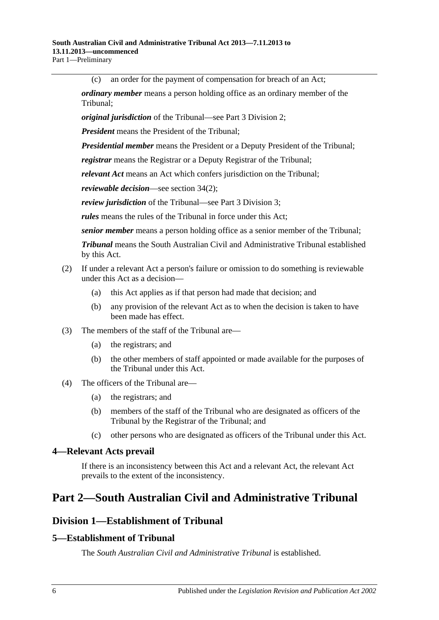(c) an order for the payment of compensation for breach of an Act;

*ordinary member* means a person holding office as an ordinary member of the Tribunal;

*original jurisdiction* of the Tribunal—see Part [3 Division](#page-21-0) 2;

*President* means the President of the Tribunal;

*Presidential member* means the President or a Deputy President of the Tribunal;

*registrar* means the Registrar or a Deputy Registrar of the Tribunal;

*relevant Act* means an Act which confers jurisdiction on the Tribunal;

*reviewable decision*—see [section](#page-21-4) 34(2);

*review jurisdiction* of the Tribunal—see Part [3 Division](#page-21-2) 3;

*rules* means the rules of the Tribunal in force under this Act;

*senior member* means a person holding office as a senior member of the Tribunal;

*Tribunal* means the South Australian Civil and Administrative Tribunal established by this Act.

- (2) If under a relevant Act a person's failure or omission to do something is reviewable under this Act as a decision—
	- (a) this Act applies as if that person had made that decision; and
	- (b) any provision of the relevant Act as to when the decision is taken to have been made has effect.
- (3) The members of the staff of the Tribunal are—
	- (a) the registrars; and
	- (b) the other members of staff appointed or made available for the purposes of the Tribunal under this Act.
- (4) The officers of the Tribunal are—
	- (a) the registrars; and
	- (b) members of the staff of the Tribunal who are designated as officers of the Tribunal by the Registrar of the Tribunal; and
	- (c) other persons who are designated as officers of the Tribunal under this Act.

### <span id="page-5-0"></span>**4—Relevant Acts prevail**

If there is an inconsistency between this Act and a relevant Act, the relevant Act prevails to the extent of the inconsistency.

## <span id="page-5-2"></span><span id="page-5-1"></span>**Part 2—South Australian Civil and Administrative Tribunal**

## **Division 1—Establishment of Tribunal**

### <span id="page-5-3"></span>**5—Establishment of Tribunal**

The *South Australian Civil and Administrative Tribunal* is established.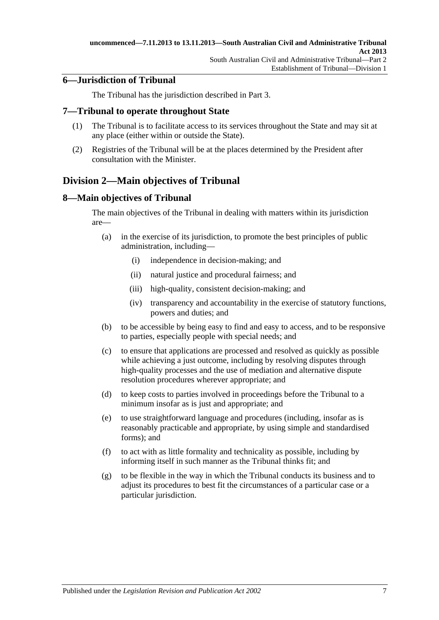### <span id="page-6-0"></span>**6—Jurisdiction of Tribunal**

The Tribunal has the jurisdiction described in [Part](#page-20-1) 3.

#### <span id="page-6-1"></span>**7—Tribunal to operate throughout State**

- (1) The Tribunal is to facilitate access to its services throughout the State and may sit at any place (either within or outside the State).
- (2) Registries of the Tribunal will be at the places determined by the President after consultation with the Minister.

## <span id="page-6-2"></span>**Division 2—Main objectives of Tribunal**

#### <span id="page-6-3"></span>**8—Main objectives of Tribunal**

The main objectives of the Tribunal in dealing with matters within its jurisdiction are—

- (a) in the exercise of its jurisdiction, to promote the best principles of public administration, including—
	- (i) independence in decision-making; and
	- (ii) natural justice and procedural fairness; and
	- (iii) high-quality, consistent decision-making; and
	- (iv) transparency and accountability in the exercise of statutory functions, powers and duties; and
- (b) to be accessible by being easy to find and easy to access, and to be responsive to parties, especially people with special needs; and
- (c) to ensure that applications are processed and resolved as quickly as possible while achieving a just outcome, including by resolving disputes through high-quality processes and the use of mediation and alternative dispute resolution procedures wherever appropriate; and
- (d) to keep costs to parties involved in proceedings before the Tribunal to a minimum insofar as is just and appropriate; and
- (e) to use straightforward language and procedures (including, insofar as is reasonably practicable and appropriate, by using simple and standardised forms); and
- (f) to act with as little formality and technicality as possible, including by informing itself in such manner as the Tribunal thinks fit; and
- (g) to be flexible in the way in which the Tribunal conducts its business and to adjust its procedures to best fit the circumstances of a particular case or a particular jurisdiction.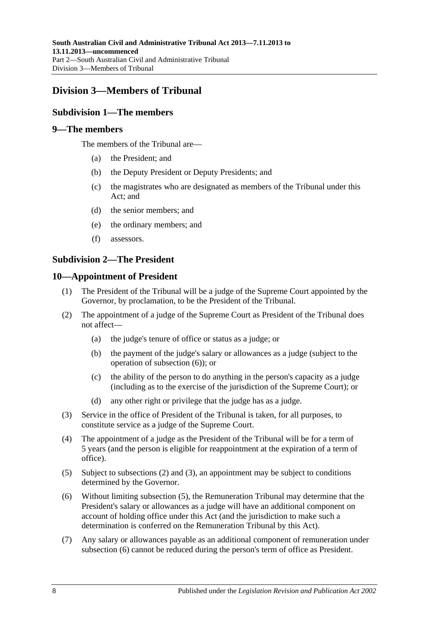## <span id="page-7-1"></span><span id="page-7-0"></span>**Division 3—Members of Tribunal**

### **Subdivision 1—The members**

#### <span id="page-7-2"></span>**9—The members**

The members of the Tribunal are—

- (a) the President; and
- (b) the Deputy President or Deputy Presidents; and
- (c) the magistrates who are designated as members of the Tribunal under this Act; and
- (d) the senior members; and
- (e) the ordinary members; and
- (f) assessors.

### <span id="page-7-3"></span>**Subdivision 2—The President**

#### <span id="page-7-4"></span>**10—Appointment of President**

- (1) The President of the Tribunal will be a judge of the Supreme Court appointed by the Governor, by proclamation, to be the President of the Tribunal.
- <span id="page-7-6"></span>(2) The appointment of a judge of the Supreme Court as President of the Tribunal does not affect—
	- (a) the judge's tenure of office or status as a judge; or
	- (b) the payment of the judge's salary or allowances as a judge (subject to the operation of [subsection](#page-7-5) (6)); or
	- (c) the ability of the person to do anything in the person's capacity as a judge (including as to the exercise of the jurisdiction of the Supreme Court); or
	- (d) any other right or privilege that the judge has as a judge.
- <span id="page-7-7"></span>(3) Service in the office of President of the Tribunal is taken, for all purposes, to constitute service as a judge of the Supreme Court.
- (4) The appointment of a judge as the President of the Tribunal will be for a term of 5 years (and the person is eligible for reappointment at the expiration of a term of office).
- <span id="page-7-8"></span>(5) Subject to [subsections](#page-7-6) (2) and [\(3\),](#page-7-7) an appointment may be subject to conditions determined by the Governor.
- <span id="page-7-5"></span>(6) Without limiting [subsection](#page-7-8) (5), the Remuneration Tribunal may determine that the President's salary or allowances as a judge will have an additional component on account of holding office under this Act (and the jurisdiction to make such a determination is conferred on the Remuneration Tribunal by this Act).
- (7) Any salary or allowances payable as an additional component of remuneration under [subsection](#page-7-5) (6) cannot be reduced during the person's term of office as President.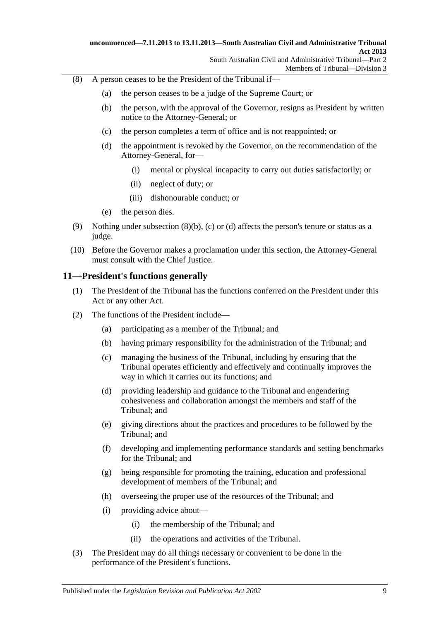- <span id="page-8-3"></span><span id="page-8-2"></span><span id="page-8-1"></span>(8) A person ceases to be the President of the Tribunal if—
	- (a) the person ceases to be a judge of the Supreme Court; or
	- (b) the person, with the approval of the Governor, resigns as President by written notice to the Attorney-General; or
	- (c) the person completes a term of office and is not reappointed; or
	- (d) the appointment is revoked by the Governor, on the recommendation of the Attorney-General, for—
		- (i) mental or physical incapacity to carry out duties satisfactorily; or
		- (ii) neglect of duty; or
		- (iii) dishonourable conduct; or
	- (e) the person dies.
- (9) Nothing under [subsection](#page-8-1)  $(8)(b)$ , [\(c\)](#page-8-2) or [\(d\)](#page-8-3) affects the person's tenure or status as a judge.
- (10) Before the Governor makes a proclamation under this section, the Attorney-General must consult with the Chief Justice.

#### <span id="page-8-0"></span>**11—President's functions generally**

- (1) The President of the Tribunal has the functions conferred on the President under this Act or any other Act.
- (2) The functions of the President include—
	- (a) participating as a member of the Tribunal; and
	- (b) having primary responsibility for the administration of the Tribunal; and
	- (c) managing the business of the Tribunal, including by ensuring that the Tribunal operates efficiently and effectively and continually improves the way in which it carries out its functions; and
	- (d) providing leadership and guidance to the Tribunal and engendering cohesiveness and collaboration amongst the members and staff of the Tribunal; and
	- (e) giving directions about the practices and procedures to be followed by the Tribunal; and
	- (f) developing and implementing performance standards and setting benchmarks for the Tribunal; and
	- (g) being responsible for promoting the training, education and professional development of members of the Tribunal; and
	- (h) overseeing the proper use of the resources of the Tribunal; and
	- (i) providing advice about—
		- (i) the membership of the Tribunal; and
		- (ii) the operations and activities of the Tribunal.
- (3) The President may do all things necessary or convenient to be done in the performance of the President's functions.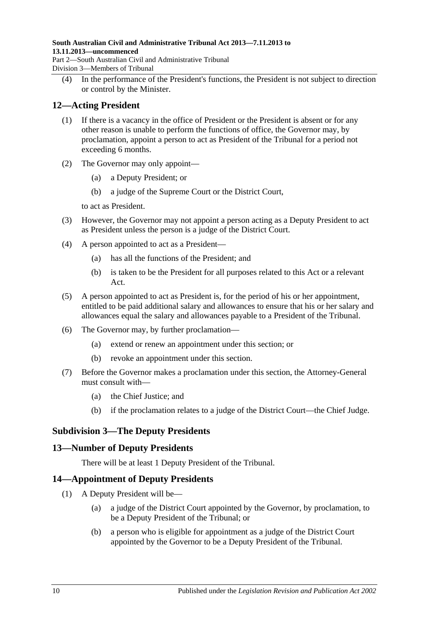**South Australian Civil and Administrative Tribunal Act 2013—7.11.2013 to 13.11.2013—uncommenced** Part 2—South Australian Civil and Administrative Tribunal Division 3—Members of Tribunal

(4) In the performance of the President's functions, the President is not subject to direction or control by the Minister.

### <span id="page-9-0"></span>**12—Acting President**

- (1) If there is a vacancy in the office of President or the President is absent or for any other reason is unable to perform the functions of office, the Governor may, by proclamation, appoint a person to act as President of the Tribunal for a period not exceeding 6 months.
- (2) The Governor may only appoint—
	- (a) a Deputy President; or
	- (b) a judge of the Supreme Court or the District Court,

to act as President.

- (3) However, the Governor may not appoint a person acting as a Deputy President to act as President unless the person is a judge of the District Court.
- (4) A person appointed to act as a President—
	- (a) has all the functions of the President; and
	- (b) is taken to be the President for all purposes related to this Act or a relevant Act.
- (5) A person appointed to act as President is, for the period of his or her appointment, entitled to be paid additional salary and allowances to ensure that his or her salary and allowances equal the salary and allowances payable to a President of the Tribunal.
- (6) The Governor may, by further proclamation—
	- (a) extend or renew an appointment under this section; or
	- (b) revoke an appointment under this section.
- (7) Before the Governor makes a proclamation under this section, the Attorney-General must consult with—
	- (a) the Chief Justice; and
	- (b) if the proclamation relates to a judge of the District Court—the Chief Judge.

### <span id="page-9-1"></span>**Subdivision 3—The Deputy Presidents**

### <span id="page-9-2"></span>**13—Number of Deputy Presidents**

There will be at least 1 Deputy President of the Tribunal.

### <span id="page-9-3"></span>**14—Appointment of Deputy Presidents**

- <span id="page-9-5"></span><span id="page-9-4"></span>(1) A Deputy President will be—
	- (a) a judge of the District Court appointed by the Governor, by proclamation, to be a Deputy President of the Tribunal; or
	- (b) a person who is eligible for appointment as a judge of the District Court appointed by the Governor to be a Deputy President of the Tribunal.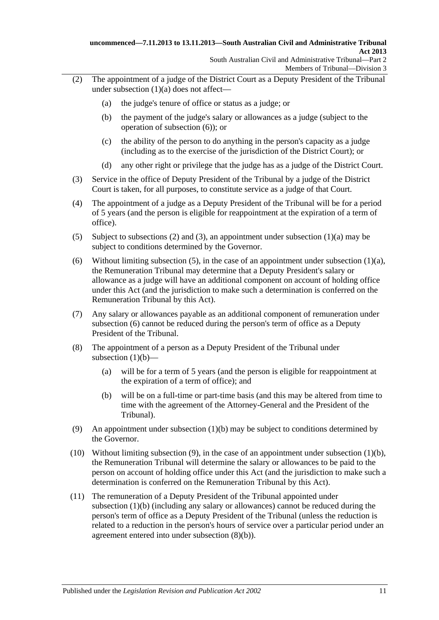- <span id="page-10-1"></span>(2) The appointment of a judge of the District Court as a Deputy President of the Tribunal under [subsection](#page-9-4) (1)(a) does not affect—
	- (a) the judge's tenure of office or status as a judge; or
	- (b) the payment of the judge's salary or allowances as a judge (subject to the operation of [subsection](#page-10-0) (6)); or
	- (c) the ability of the person to do anything in the person's capacity as a judge (including as to the exercise of the jurisdiction of the District Court); or
	- (d) any other right or privilege that the judge has as a judge of the District Court.
- <span id="page-10-2"></span>(3) Service in the office of Deputy President of the Tribunal by a judge of the District Court is taken, for all purposes, to constitute service as a judge of that Court.
- (4) The appointment of a judge as a Deputy President of the Tribunal will be for a period of 5 years (and the person is eligible for reappointment at the expiration of a term of office).
- <span id="page-10-3"></span>(5) Subject to [subsections \(2\)](#page-10-1) and [\(3\),](#page-10-2) an appointment under [subsection](#page-9-4) (1)(a) may be subject to conditions determined by the Governor.
- <span id="page-10-0"></span>(6) Without limiting [subsection](#page-9-4) (5), in the case of an appointment under subsection  $(1)(a)$ , the Remuneration Tribunal may determine that a Deputy President's salary or allowance as a judge will have an additional component on account of holding office under this Act (and the jurisdiction to make such a determination is conferred on the Remuneration Tribunal by this Act).
- (7) Any salary or allowances payable as an additional component of remuneration under [subsection](#page-10-0) (6) cannot be reduced during the person's term of office as a Deputy President of the Tribunal.
- (8) The appointment of a person as a Deputy President of the Tribunal under [subsection](#page-9-5)  $(1)(b)$ —
	- (a) will be for a term of 5 years (and the person is eligible for reappointment at the expiration of a term of office); and
	- (b) will be on a full-time or part-time basis (and this may be altered from time to time with the agreement of the Attorney-General and the President of the Tribunal).
- <span id="page-10-5"></span><span id="page-10-4"></span>(9) An appointment under [subsection](#page-9-5) (1)(b) may be subject to conditions determined by the Governor.
- (10) Without limiting [subsection](#page-9-5)  $(9)$ , in the case of an appointment under subsection  $(1)(b)$ , the Remuneration Tribunal will determine the salary or allowances to be paid to the person on account of holding office under this Act (and the jurisdiction to make such a determination is conferred on the Remuneration Tribunal by this Act).
- (11) The remuneration of a Deputy President of the Tribunal appointed under [subsection](#page-9-5) (1)(b) (including any salary or allowances) cannot be reduced during the person's term of office as a Deputy President of the Tribunal (unless the reduction is related to a reduction in the person's hours of service over a particular period under an agreement entered into under [subsection](#page-10-5) (8)(b)).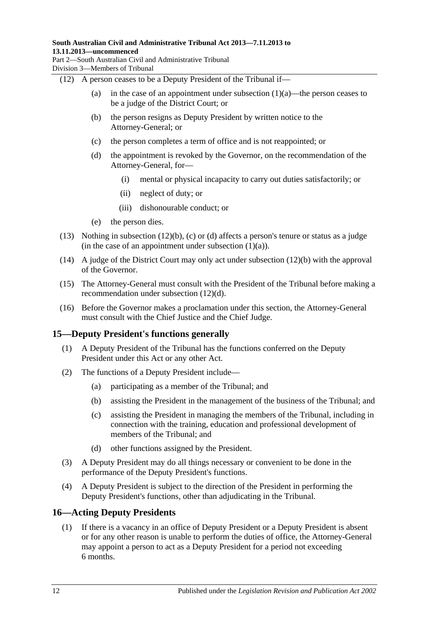Division 3—Members of Tribunal

<span id="page-11-2"></span>(12) A person ceases to be a Deputy President of the Tribunal if—

- (a) in the case of an appointment under [subsection](#page-9-4)  $(1)(a)$ —the person ceases to be a judge of the District Court; or
- (b) the person resigns as Deputy President by written notice to the Attorney-General; or
- <span id="page-11-3"></span>(c) the person completes a term of office and is not reappointed; or
- <span id="page-11-4"></span>(d) the appointment is revoked by the Governor, on the recommendation of the Attorney-General, for—
	- (i) mental or physical incapacity to carry out duties satisfactorily; or
	- (ii) neglect of duty; or
	- (iii) dishonourable conduct; or
- (e) the person dies.
- (13) Nothing in [subsection](#page-11-2) (12)(b), [\(c\)](#page-11-3) or [\(d\)](#page-11-4) affects a person's tenure or status as a judge (in the case of an appointment under [subsection](#page-9-4)  $(1)(a)$ ).
- (14) A judge of the District Court may only act under [subsection](#page-11-2) (12)(b) with the approval of the Governor.
- (15) The Attorney-General must consult with the President of the Tribunal before making a recommendation under [subsection](#page-11-4) (12)(d).
- (16) Before the Governor makes a proclamation under this section, the Attorney-General must consult with the Chief Justice and the Chief Judge.

### <span id="page-11-0"></span>**15—Deputy President's functions generally**

- (1) A Deputy President of the Tribunal has the functions conferred on the Deputy President under this Act or any other Act.
- (2) The functions of a Deputy President include—
	- (a) participating as a member of the Tribunal; and
	- (b) assisting the President in the management of the business of the Tribunal; and
	- (c) assisting the President in managing the members of the Tribunal, including in connection with the training, education and professional development of members of the Tribunal; and
	- (d) other functions assigned by the President.
- (3) A Deputy President may do all things necessary or convenient to be done in the performance of the Deputy President's functions.
- (4) A Deputy President is subject to the direction of the President in performing the Deputy President's functions, other than adjudicating in the Tribunal.

### <span id="page-11-1"></span>**16—Acting Deputy Presidents**

(1) If there is a vacancy in an office of Deputy President or a Deputy President is absent or for any other reason is unable to perform the duties of office, the Attorney-General may appoint a person to act as a Deputy President for a period not exceeding 6 months.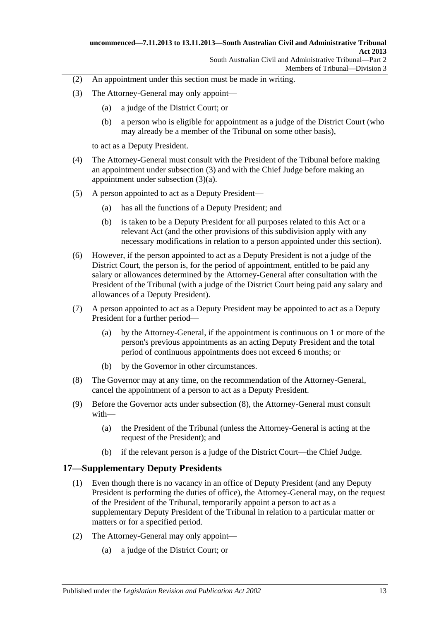- (2) An appointment under this section must be made in writing.
- <span id="page-12-2"></span><span id="page-12-1"></span>(3) The Attorney-General may only appoint—
	- (a) a judge of the District Court; or
	- (b) a person who is eligible for appointment as a judge of the District Court (who may already be a member of the Tribunal on some other basis),

to act as a Deputy President.

- (4) The Attorney-General must consult with the President of the Tribunal before making an appointment under [subsection](#page-12-1) (3) and with the Chief Judge before making an appointment under [subsection](#page-12-2) (3)(a).
- (5) A person appointed to act as a Deputy President—
	- (a) has all the functions of a Deputy President; and
	- (b) is taken to be a Deputy President for all purposes related to this Act or a relevant Act (and the other provisions of this subdivision apply with any necessary modifications in relation to a person appointed under this section).
- (6) However, if the person appointed to act as a Deputy President is not a judge of the District Court, the person is, for the period of appointment, entitled to be paid any salary or allowances determined by the Attorney-General after consultation with the President of the Tribunal (with a judge of the District Court being paid any salary and allowances of a Deputy President).
- (7) A person appointed to act as a Deputy President may be appointed to act as a Deputy President for a further period—
	- (a) by the Attorney-General, if the appointment is continuous on 1 or more of the person's previous appointments as an acting Deputy President and the total period of continuous appointments does not exceed 6 months; or
	- (b) by the Governor in other circumstances.
- <span id="page-12-3"></span>(8) The Governor may at any time, on the recommendation of the Attorney-General, cancel the appointment of a person to act as a Deputy President.
- (9) Before the Governor acts under [subsection](#page-12-3) (8), the Attorney-General must consult with—
	- (a) the President of the Tribunal (unless the Attorney-General is acting at the request of the President); and
	- (b) if the relevant person is a judge of the District Court—the Chief Judge.

### <span id="page-12-0"></span>**17—Supplementary Deputy Presidents**

- (1) Even though there is no vacancy in an office of Deputy President (and any Deputy President is performing the duties of office), the Attorney-General may, on the request of the President of the Tribunal, temporarily appoint a person to act as a supplementary Deputy President of the Tribunal in relation to a particular matter or matters or for a specified period.
- <span id="page-12-4"></span>(2) The Attorney-General may only appoint—
	- (a) a judge of the District Court; or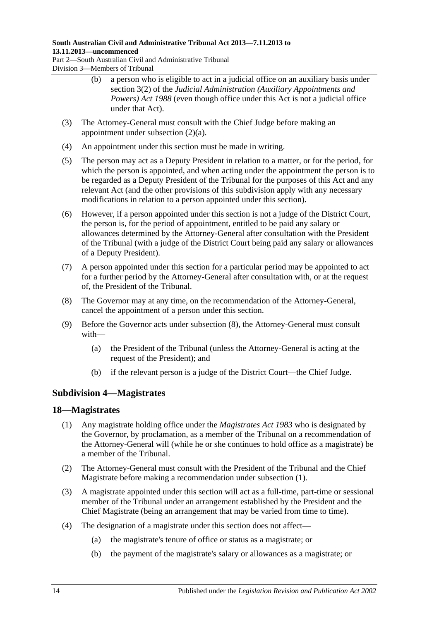### **South Australian Civil and Administrative Tribunal Act 2013—7.11.2013 to 13.11.2013—uncommenced**

Part 2—South Australian Civil and Administrative Tribunal Division 3—Members of Tribunal

- (b) a person who is eligible to act in a judicial office on an auxiliary basis under section 3(2) of the *[Judicial Administration \(Auxiliary Appointments and](http://www.legislation.sa.gov.au/index.aspx?action=legref&type=act&legtitle=Judicial%20Administration%20(Auxiliary%20Appointments%20and%20Powers)%20Act%201988)  [Powers\) Act](http://www.legislation.sa.gov.au/index.aspx?action=legref&type=act&legtitle=Judicial%20Administration%20(Auxiliary%20Appointments%20and%20Powers)%20Act%201988) 1988* (even though office under this Act is not a judicial office under that Act).
- (3) The Attorney-General must consult with the Chief Judge before making an appointment under [subsection](#page-12-4) (2)(a).
- (4) An appointment under this section must be made in writing.
- (5) The person may act as a Deputy President in relation to a matter, or for the period, for which the person is appointed, and when acting under the appointment the person is to be regarded as a Deputy President of the Tribunal for the purposes of this Act and any relevant Act (and the other provisions of this subdivision apply with any necessary modifications in relation to a person appointed under this section).
- (6) However, if a person appointed under this section is not a judge of the District Court, the person is, for the period of appointment, entitled to be paid any salary or allowances determined by the Attorney-General after consultation with the President of the Tribunal (with a judge of the District Court being paid any salary or allowances of a Deputy President).
- (7) A person appointed under this section for a particular period may be appointed to act for a further period by the Attorney-General after consultation with, or at the request of, the President of the Tribunal.
- <span id="page-13-2"></span>(8) The Governor may at any time, on the recommendation of the Attorney-General, cancel the appointment of a person under this section.
- (9) Before the Governor acts under [subsection](#page-13-2) (8), the Attorney-General must consult with—
	- (a) the President of the Tribunal (unless the Attorney-General is acting at the request of the President); and
	- (b) if the relevant person is a judge of the District Court—the Chief Judge.

## <span id="page-13-0"></span>**Subdivision 4—Magistrates**

### <span id="page-13-3"></span><span id="page-13-1"></span>**18—Magistrates**

- (1) Any magistrate holding office under the *[Magistrates Act](http://www.legislation.sa.gov.au/index.aspx?action=legref&type=act&legtitle=Magistrates%20Act%201983) 1983* who is designated by the Governor, by proclamation, as a member of the Tribunal on a recommendation of the Attorney-General will (while he or she continues to hold office as a magistrate) be a member of the Tribunal.
- (2) The Attorney-General must consult with the President of the Tribunal and the Chief Magistrate before making a recommendation under [subsection](#page-13-3) (1).
- (3) A magistrate appointed under this section will act as a full-time, part-time or sessional member of the Tribunal under an arrangement established by the President and the Chief Magistrate (being an arrangement that may be varied from time to time).
- (4) The designation of a magistrate under this section does not affect—
	- (a) the magistrate's tenure of office or status as a magistrate; or
	- (b) the payment of the magistrate's salary or allowances as a magistrate; or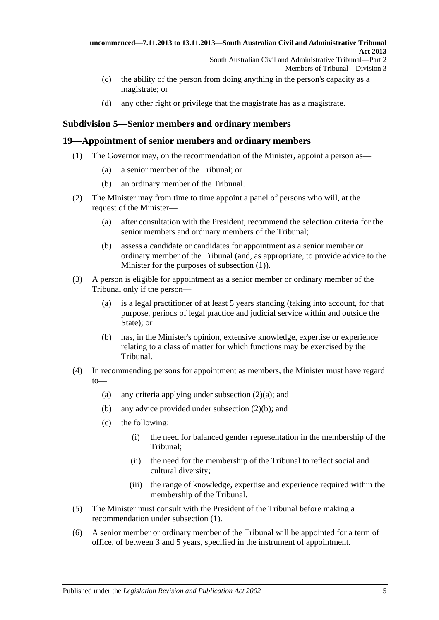- (c) the ability of the person from doing anything in the person's capacity as a magistrate; or
- (d) any other right or privilege that the magistrate has as a magistrate.

### <span id="page-14-0"></span>**Subdivision 5—Senior members and ordinary members**

#### <span id="page-14-2"></span><span id="page-14-1"></span>**19—Appointment of senior members and ordinary members**

- (1) The Governor may, on the recommendation of the Minister, appoint a person as—
	- (a) a senior member of the Tribunal; or
	- (b) an ordinary member of the Tribunal.
- <span id="page-14-5"></span><span id="page-14-3"></span>(2) The Minister may from time to time appoint a panel of persons who will, at the request of the Minister—
	- (a) after consultation with the President, recommend the selection criteria for the senior members and ordinary members of the Tribunal;
	- (b) assess a candidate or candidates for appointment as a senior member or ordinary member of the Tribunal (and, as appropriate, to provide advice to the Minister for the purposes of [subsection](#page-14-2) (1)).
- <span id="page-14-4"></span>(3) A person is eligible for appointment as a senior member or ordinary member of the Tribunal only if the person—
	- (a) is a legal practitioner of at least 5 years standing (taking into account, for that purpose, periods of legal practice and judicial service within and outside the State); or
	- (b) has, in the Minister's opinion, extensive knowledge, expertise or experience relating to a class of matter for which functions may be exercised by the Tribunal.
- (4) In recommending persons for appointment as members, the Minister must have regard to
	- (a) any criteria applying under [subsection](#page-14-3)  $(2)(a)$ ; and
	- (b) any advice provided under [subsection](#page-14-4) (2)(b); and
	- (c) the following:
		- (i) the need for balanced gender representation in the membership of the Tribunal;
		- (ii) the need for the membership of the Tribunal to reflect social and cultural diversity;
		- (iii) the range of knowledge, expertise and experience required within the membership of the Tribunal.
- (5) The Minister must consult with the President of the Tribunal before making a recommendation under [subsection](#page-14-2) (1).
- (6) A senior member or ordinary member of the Tribunal will be appointed for a term of office, of between 3 and 5 years, specified in the instrument of appointment.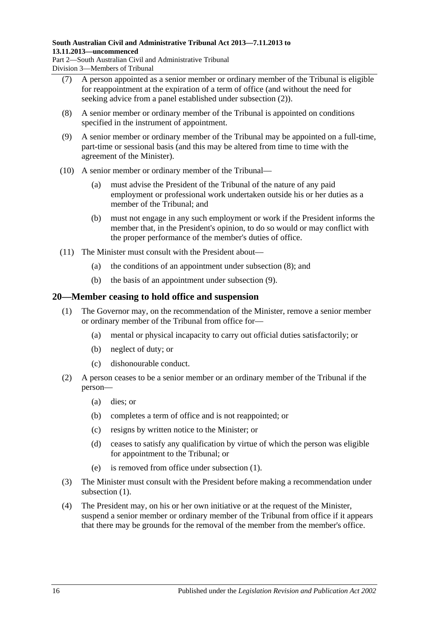#### **South Australian Civil and Administrative Tribunal Act 2013—7.11.2013 to 13.11.2013—uncommenced**

Part 2—South Australian Civil and Administrative Tribunal Division 3—Members of Tribunal

- (7) A person appointed as a senior member or ordinary member of the Tribunal is eligible for reappointment at the expiration of a term of office (and without the need for seeking advice from a panel established under [subsection](#page-14-5) (2)).
- <span id="page-15-1"></span>(8) A senior member or ordinary member of the Tribunal is appointed on conditions specified in the instrument of appointment.
- <span id="page-15-2"></span>(9) A senior member or ordinary member of the Tribunal may be appointed on a full-time, part-time or sessional basis (and this may be altered from time to time with the agreement of the Minister).
- (10) A senior member or ordinary member of the Tribunal—
	- (a) must advise the President of the Tribunal of the nature of any paid employment or professional work undertaken outside his or her duties as a member of the Tribunal; and
	- (b) must not engage in any such employment or work if the President informs the member that, in the President's opinion, to do so would or may conflict with the proper performance of the member's duties of office.
- (11) The Minister must consult with the President about—
	- (a) the conditions of an appointment under [subsection](#page-15-1) (8); and
	- (b) the basis of an appointment under [subsection](#page-15-2) (9).

### <span id="page-15-3"></span><span id="page-15-0"></span>**20—Member ceasing to hold office and suspension**

- (1) The Governor may, on the recommendation of the Minister, remove a senior member or ordinary member of the Tribunal from office for—
	- (a) mental or physical incapacity to carry out official duties satisfactorily; or
	- (b) neglect of duty; or
	- (c) dishonourable conduct.
- (2) A person ceases to be a senior member or an ordinary member of the Tribunal if the person—
	- (a) dies; or
	- (b) completes a term of office and is not reappointed; or
	- (c) resigns by written notice to the Minister; or
	- (d) ceases to satisfy any qualification by virtue of which the person was eligible for appointment to the Tribunal; or
	- (e) is removed from office under [subsection](#page-15-3) (1).
- (3) The Minister must consult with the President before making a recommendation under [subsection](#page-15-3)  $(1)$ .
- <span id="page-15-4"></span>(4) The President may, on his or her own initiative or at the request of the Minister, suspend a senior member or ordinary member of the Tribunal from office if it appears that there may be grounds for the removal of the member from the member's office.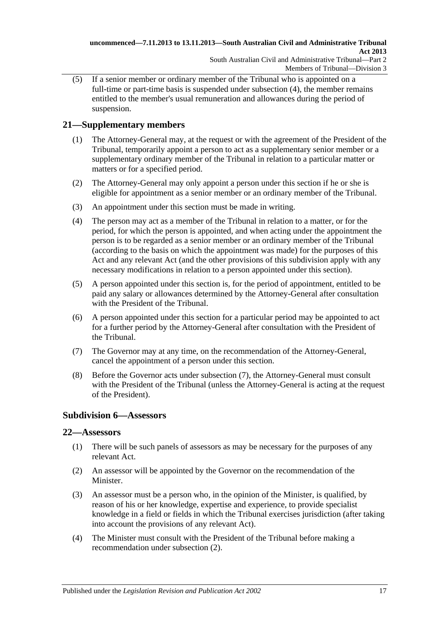(5) If a senior member or ordinary member of the Tribunal who is appointed on a full-time or part-time basis is suspended under [subsection](#page-15-4) (4), the member remains entitled to the member's usual remuneration and allowances during the period of suspension.

## <span id="page-16-0"></span>**21—Supplementary members**

- (1) The Attorney-General may, at the request or with the agreement of the President of the Tribunal, temporarily appoint a person to act as a supplementary senior member or a supplementary ordinary member of the Tribunal in relation to a particular matter or matters or for a specified period.
- (2) The Attorney-General may only appoint a person under this section if he or she is eligible for appointment as a senior member or an ordinary member of the Tribunal.
- (3) An appointment under this section must be made in writing.
- (4) The person may act as a member of the Tribunal in relation to a matter, or for the period, for which the person is appointed, and when acting under the appointment the person is to be regarded as a senior member or an ordinary member of the Tribunal (according to the basis on which the appointment was made) for the purposes of this Act and any relevant Act (and the other provisions of this subdivision apply with any necessary modifications in relation to a person appointed under this section).
- (5) A person appointed under this section is, for the period of appointment, entitled to be paid any salary or allowances determined by the Attorney-General after consultation with the President of the Tribunal.
- (6) A person appointed under this section for a particular period may be appointed to act for a further period by the Attorney-General after consultation with the President of the Tribunal.
- <span id="page-16-3"></span>(7) The Governor may at any time, on the recommendation of the Attorney-General, cancel the appointment of a person under this section.
- (8) Before the Governor acts under [subsection](#page-16-3) (7), the Attorney-General must consult with the President of the Tribunal (unless the Attorney-General is acting at the request of the President).

## <span id="page-16-1"></span>**Subdivision 6—Assessors**

### <span id="page-16-2"></span>**22—Assessors**

- (1) There will be such panels of assessors as may be necessary for the purposes of any relevant Act.
- <span id="page-16-4"></span>(2) An assessor will be appointed by the Governor on the recommendation of the Minister.
- (3) An assessor must be a person who, in the opinion of the Minister, is qualified, by reason of his or her knowledge, expertise and experience, to provide specialist knowledge in a field or fields in which the Tribunal exercises jurisdiction (after taking into account the provisions of any relevant Act).
- (4) The Minister must consult with the President of the Tribunal before making a recommendation under [subsection](#page-16-4) (2).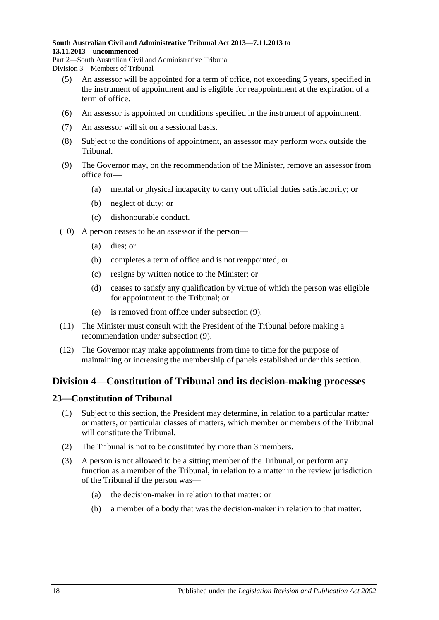#### **South Australian Civil and Administrative Tribunal Act 2013—7.11.2013 to 13.11.2013—uncommenced**

Part 2—South Australian Civil and Administrative Tribunal Division 3—Members of Tribunal

- (5) An assessor will be appointed for a term of office, not exceeding 5 years, specified in the instrument of appointment and is eligible for reappointment at the expiration of a term of office.
- (6) An assessor is appointed on conditions specified in the instrument of appointment.
- (7) An assessor will sit on a sessional basis.
- (8) Subject to the conditions of appointment, an assessor may perform work outside the Tribunal.
- <span id="page-17-2"></span>(9) The Governor may, on the recommendation of the Minister, remove an assessor from office for—
	- (a) mental or physical incapacity to carry out official duties satisfactorily; or
	- (b) neglect of duty; or
	- (c) dishonourable conduct.
- (10) A person ceases to be an assessor if the person—
	- (a) dies; or
	- (b) completes a term of office and is not reappointed; or
	- (c) resigns by written notice to the Minister; or
	- (d) ceases to satisfy any qualification by virtue of which the person was eligible for appointment to the Tribunal; or
	- (e) is removed from office under [subsection](#page-17-2) (9).
- (11) The Minister must consult with the President of the Tribunal before making a recommendation under [subsection](#page-17-2) (9).
- (12) The Governor may make appointments from time to time for the purpose of maintaining or increasing the membership of panels established under this section.

## <span id="page-17-0"></span>**Division 4—Constitution of Tribunal and its decision-making processes**

### <span id="page-17-1"></span>**23—Constitution of Tribunal**

- (1) Subject to this section, the President may determine, in relation to a particular matter or matters, or particular classes of matters, which member or members of the Tribunal will constitute the Tribunal.
- (2) The Tribunal is not to be constituted by more than 3 members.
- (3) A person is not allowed to be a sitting member of the Tribunal, or perform any function as a member of the Tribunal, in relation to a matter in the review jurisdiction of the Tribunal if the person was—
	- (a) the decision-maker in relation to that matter; or
	- (b) a member of a body that was the decision-maker in relation to that matter.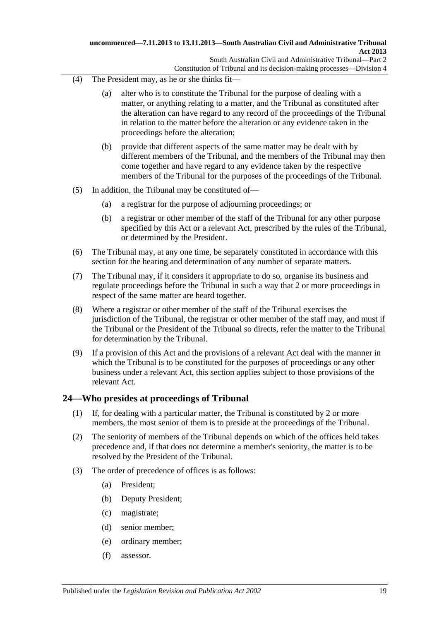- (4) The President may, as he or she thinks fit—
	- (a) alter who is to constitute the Tribunal for the purpose of dealing with a matter, or anything relating to a matter, and the Tribunal as constituted after the alteration can have regard to any record of the proceedings of the Tribunal in relation to the matter before the alteration or any evidence taken in the proceedings before the alteration;
	- (b) provide that different aspects of the same matter may be dealt with by different members of the Tribunal, and the members of the Tribunal may then come together and have regard to any evidence taken by the respective members of the Tribunal for the purposes of the proceedings of the Tribunal.
- (5) In addition, the Tribunal may be constituted of—
	- (a) a registrar for the purpose of adjourning proceedings; or
	- (b) a registrar or other member of the staff of the Tribunal for any other purpose specified by this Act or a relevant Act, prescribed by the rules of the Tribunal, or determined by the President.
- (6) The Tribunal may, at any one time, be separately constituted in accordance with this section for the hearing and determination of any number of separate matters.
- (7) The Tribunal may, if it considers it appropriate to do so, organise its business and regulate proceedings before the Tribunal in such a way that 2 or more proceedings in respect of the same matter are heard together.
- (8) Where a registrar or other member of the staff of the Tribunal exercises the jurisdiction of the Tribunal, the registrar or other member of the staff may, and must if the Tribunal or the President of the Tribunal so directs, refer the matter to the Tribunal for determination by the Tribunal.
- (9) If a provision of this Act and the provisions of a relevant Act deal with the manner in which the Tribunal is to be constituted for the purposes of proceedings or any other business under a relevant Act, this section applies subject to those provisions of the relevant Act.

### <span id="page-18-0"></span>**24—Who presides at proceedings of Tribunal**

- (1) If, for dealing with a particular matter, the Tribunal is constituted by 2 or more members, the most senior of them is to preside at the proceedings of the Tribunal.
- (2) The seniority of members of the Tribunal depends on which of the offices held takes precedence and, if that does not determine a member's seniority, the matter is to be resolved by the President of the Tribunal.
- (3) The order of precedence of offices is as follows:
	- (a) President;
	- (b) Deputy President;
	- (c) magistrate;
	- (d) senior member;
	- (e) ordinary member;
	- (f) assessor.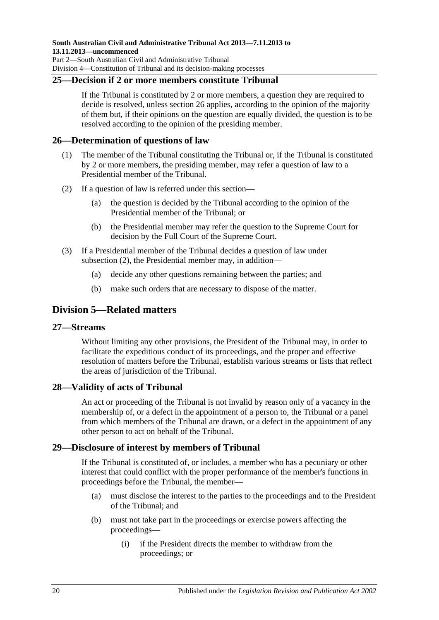### <span id="page-19-0"></span>**25—Decision if 2 or more members constitute Tribunal**

If the Tribunal is constituted by 2 or more members, a question they are required to decide is resolved, unless [section](#page-19-1) 26 applies, according to the opinion of the majority of them but, if their opinions on the question are equally divided, the question is to be resolved according to the opinion of the presiding member.

### <span id="page-19-1"></span>**26—Determination of questions of law**

- (1) The member of the Tribunal constituting the Tribunal or, if the Tribunal is constituted by 2 or more members, the presiding member, may refer a question of law to a Presidential member of the Tribunal.
- <span id="page-19-6"></span>(2) If a question of law is referred under this section—
	- (a) the question is decided by the Tribunal according to the opinion of the Presidential member of the Tribunal; or
	- (b) the Presidential member may refer the question to the Supreme Court for decision by the Full Court of the Supreme Court.
- (3) If a Presidential member of the Tribunal decides a question of law under [subsection](#page-19-6) (2), the Presidential member may, in addition—
	- (a) decide any other questions remaining between the parties; and
	- (b) make such orders that are necessary to dispose of the matter.

## <span id="page-19-2"></span>**Division 5—Related matters**

#### <span id="page-19-3"></span>**27—Streams**

Without limiting any other provisions, the President of the Tribunal may, in order to facilitate the expeditious conduct of its proceedings, and the proper and effective resolution of matters before the Tribunal, establish various streams or lists that reflect the areas of jurisdiction of the Tribunal.

### <span id="page-19-4"></span>**28—Validity of acts of Tribunal**

An act or proceeding of the Tribunal is not invalid by reason only of a vacancy in the membership of, or a defect in the appointment of a person to, the Tribunal or a panel from which members of the Tribunal are drawn, or a defect in the appointment of any other person to act on behalf of the Tribunal.

#### <span id="page-19-5"></span>**29—Disclosure of interest by members of Tribunal**

If the Tribunal is constituted of, or includes, a member who has a pecuniary or other interest that could conflict with the proper performance of the member's functions in proceedings before the Tribunal, the member—

- (a) must disclose the interest to the parties to the proceedings and to the President of the Tribunal; and
- (b) must not take part in the proceedings or exercise powers affecting the proceedings—
	- (i) if the President directs the member to withdraw from the proceedings; or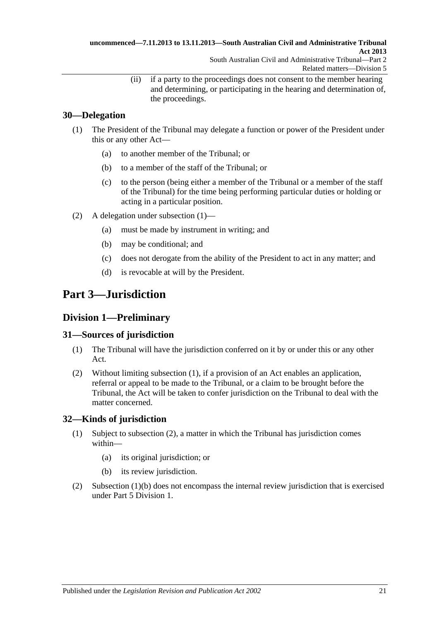(ii) if a party to the proceedings does not consent to the member hearing and determining, or participating in the hearing and determination of, the proceedings.

## <span id="page-20-0"></span>**30—Delegation**

- <span id="page-20-5"></span>(1) The President of the Tribunal may delegate a function or power of the President under this or any other Act—
	- (a) to another member of the Tribunal; or
	- (b) to a member of the staff of the Tribunal; or
	- (c) to the person (being either a member of the Tribunal or a member of the staff of the Tribunal) for the time being performing particular duties or holding or acting in a particular position.
- (2) A delegation under [subsection](#page-20-5) (1)—
	- (a) must be made by instrument in writing; and
	- (b) may be conditional; and
	- (c) does not derogate from the ability of the President to act in any matter; and
	- (d) is revocable at will by the President.

## <span id="page-20-1"></span>**Part 3—Jurisdiction**

## <span id="page-20-2"></span>**Division 1—Preliminary**

### <span id="page-20-6"></span><span id="page-20-3"></span>**31—Sources of jurisdiction**

- (1) The Tribunal will have the jurisdiction conferred on it by or under this or any other Act.
- (2) Without limiting [subsection](#page-20-6) (1), if a provision of an Act enables an application, referral or appeal to be made to the Tribunal, or a claim to be brought before the Tribunal, the Act will be taken to confer jurisdiction on the Tribunal to deal with the matter concerned.

## <span id="page-20-4"></span>**32—Kinds of jurisdiction**

- (1) Subject to [subsection](#page-20-7) (2), a matter in which the Tribunal has jurisdiction comes within—
	- (a) its original jurisdiction; or
	- (b) its review jurisdiction.
- <span id="page-20-8"></span><span id="page-20-7"></span>(2) [Subsection](#page-20-8) (1)(b) does not encompass the internal review jurisdiction that is exercised under Part [5 Division](#page-37-3) 1.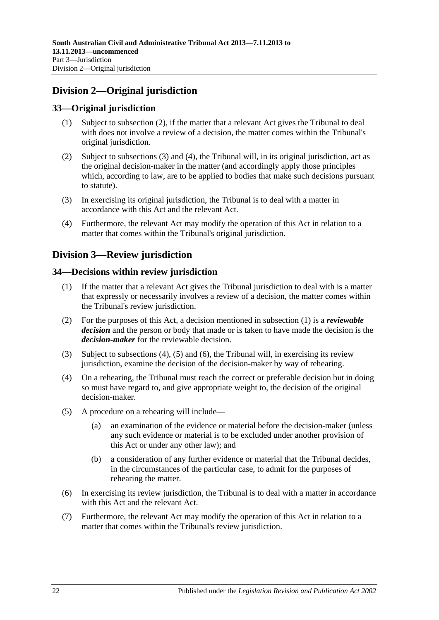## <span id="page-21-0"></span>**Division 2—Original jurisdiction**

### <span id="page-21-1"></span>**33—Original jurisdiction**

- (1) Subject to [subsection](#page-21-5) (2), if the matter that a relevant Act gives the Tribunal to deal with does not involve a review of a decision, the matter comes within the Tribunal's original jurisdiction.
- <span id="page-21-5"></span>(2) Subject to [subsections](#page-21-6) (3) and [\(4\),](#page-21-7) the Tribunal will, in its original jurisdiction, act as the original decision-maker in the matter (and accordingly apply those principles which, according to law, are to be applied to bodies that make such decisions pursuant to statute).
- <span id="page-21-6"></span>(3) In exercising its original jurisdiction, the Tribunal is to deal with a matter in accordance with this Act and the relevant Act.
- <span id="page-21-7"></span>(4) Furthermore, the relevant Act may modify the operation of this Act in relation to a matter that comes within the Tribunal's original jurisdiction.

## <span id="page-21-2"></span>**Division 3—Review jurisdiction**

### <span id="page-21-8"></span><span id="page-21-3"></span>**34—Decisions within review jurisdiction**

- (1) If the matter that a relevant Act gives the Tribunal jurisdiction to deal with is a matter that expressly or necessarily involves a review of a decision, the matter comes within the Tribunal's review jurisdiction.
- <span id="page-21-4"></span>(2) For the purposes of this Act, a decision mentioned in [subsection](#page-21-8) (1) is a *reviewable decision* and the person or body that made or is taken to have made the decision is the *decision-maker* for the reviewable decision.
- (3) Subject to [subsections \(4\),](#page-21-9) [\(5\)](#page-21-10) and [\(6\),](#page-21-11) the Tribunal will, in exercising its review jurisdiction, examine the decision of the decision-maker by way of rehearing.
- <span id="page-21-9"></span>(4) On a rehearing, the Tribunal must reach the correct or preferable decision but in doing so must have regard to, and give appropriate weight to, the decision of the original decision-maker.
- <span id="page-21-10"></span>(5) A procedure on a rehearing will include—
	- (a) an examination of the evidence or material before the decision-maker (unless any such evidence or material is to be excluded under another provision of this Act or under any other law); and
	- (b) a consideration of any further evidence or material that the Tribunal decides, in the circumstances of the particular case, to admit for the purposes of rehearing the matter.
- <span id="page-21-11"></span>(6) In exercising its review jurisdiction, the Tribunal is to deal with a matter in accordance with this Act and the relevant Act.
- (7) Furthermore, the relevant Act may modify the operation of this Act in relation to a matter that comes within the Tribunal's review jurisdiction.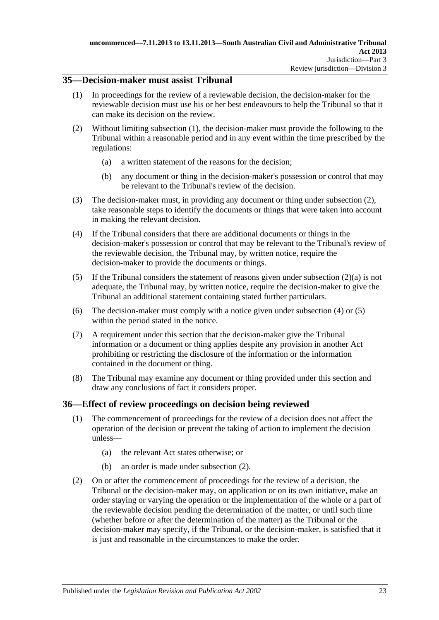### <span id="page-22-2"></span><span id="page-22-0"></span>**35—Decision-maker must assist Tribunal**

- (1) In proceedings for the review of a reviewable decision, the decision-maker for the reviewable decision must use his or her best endeavours to help the Tribunal so that it can make its decision on the review.
- <span id="page-22-4"></span><span id="page-22-3"></span>(2) Without limiting [subsection](#page-22-2) (1), the decision-maker must provide the following to the Tribunal within a reasonable period and in any event within the time prescribed by the regulations:
	- (a) a written statement of the reasons for the decision;
	- (b) any document or thing in the decision-maker's possession or control that may be relevant to the Tribunal's review of the decision.
- (3) The decision-maker must, in providing any document or thing under [subsection](#page-22-3) (2), take reasonable steps to identify the documents or things that were taken into account in making the relevant decision.
- <span id="page-22-5"></span>(4) If the Tribunal considers that there are additional documents or things in the decision-maker's possession or control that may be relevant to the Tribunal's review of the reviewable decision, the Tribunal may, by written notice, require the decision-maker to provide the documents or things.
- <span id="page-22-6"></span>(5) If the Tribunal considers the statement of reasons given under [subsection](#page-22-4) (2)(a) is not adequate, the Tribunal may, by written notice, require the decision-maker to give the Tribunal an additional statement containing stated further particulars.
- (6) The decision-maker must comply with a notice given under [subsection](#page-22-5) (4) or [\(5\)](#page-22-6) within the period stated in the notice.
- (7) A requirement under this section that the decision-maker give the Tribunal information or a document or thing applies despite any provision in another Act prohibiting or restricting the disclosure of the information or the information contained in the document or thing.
- (8) The Tribunal may examine any document or thing provided under this section and draw any conclusions of fact it considers proper.

## <span id="page-22-1"></span>**36—Effect of review proceedings on decision being reviewed**

- (1) The commencement of proceedings for the review of a decision does not affect the operation of the decision or prevent the taking of action to implement the decision unless—
	- (a) the relevant Act states otherwise; or
	- (b) an order is made under [subsection](#page-22-7) (2).
- <span id="page-22-7"></span>(2) On or after the commencement of proceedings for the review of a decision, the Tribunal or the decision-maker may, on application or on its own initiative, make an order staying or varying the operation or the implementation of the whole or a part of the reviewable decision pending the determination of the matter, or until such time (whether before or after the determination of the matter) as the Tribunal or the decision-maker may specify, if the Tribunal, or the decision-maker, is satisfied that it is just and reasonable in the circumstances to make the order.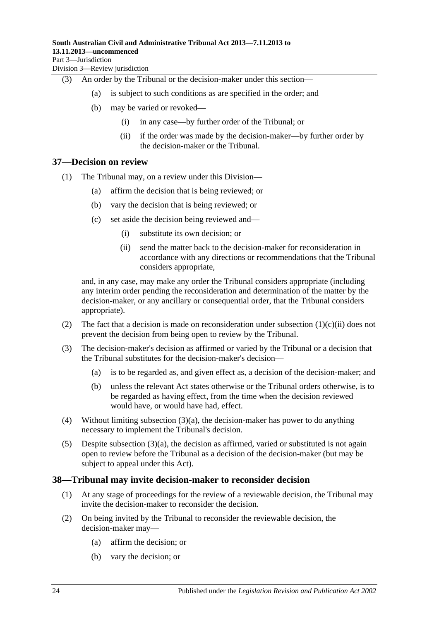(3) An order by the Tribunal or the decision-maker under this section—

- (a) is subject to such conditions as are specified in the order; and
- (b) may be varied or revoked—
	- (i) in any case—by further order of the Tribunal; or
	- (ii) if the order was made by the decision-maker—by further order by the decision-maker or the Tribunal.

#### <span id="page-23-0"></span>**37—Decision on review**

- (1) The Tribunal may, on a review under this Division—
	- (a) affirm the decision that is being reviewed; or
	- (b) vary the decision that is being reviewed; or
	- (c) set aside the decision being reviewed and—
		- (i) substitute its own decision; or
		- (ii) send the matter back to the decision-maker for reconsideration in accordance with any directions or recommendations that the Tribunal considers appropriate,

<span id="page-23-2"></span>and, in any case, may make any order the Tribunal considers appropriate (including any interim order pending the reconsideration and determination of the matter by the decision-maker, or any ancillary or consequential order, that the Tribunal considers appropriate).

- (2) The fact that a decision is made on reconsideration under [subsection](#page-23-2)  $(1)(c)(ii)$  does not prevent the decision from being open to review by the Tribunal.
- <span id="page-23-3"></span>(3) The decision-maker's decision as affirmed or varied by the Tribunal or a decision that the Tribunal substitutes for the decision-maker's decision—
	- (a) is to be regarded as, and given effect as, a decision of the decision-maker; and
	- (b) unless the relevant Act states otherwise or the Tribunal orders otherwise, is to be regarded as having effect, from the time when the decision reviewed would have, or would have had, effect.
- (4) Without limiting [subsection](#page-23-3)  $(3)(a)$ , the decision-maker has power to do anything necessary to implement the Tribunal's decision.
- (5) Despite [subsection](#page-23-3)  $(3)(a)$ , the decision as affirmed, varied or substituted is not again open to review before the Tribunal as a decision of the decision-maker (but may be subject to appeal under this Act).

#### <span id="page-23-1"></span>**38—Tribunal may invite decision-maker to reconsider decision**

- (1) At any stage of proceedings for the review of a reviewable decision, the Tribunal may invite the decision-maker to reconsider the decision.
- (2) On being invited by the Tribunal to reconsider the reviewable decision, the decision-maker may—
	- (a) affirm the decision; or
	- (b) vary the decision; or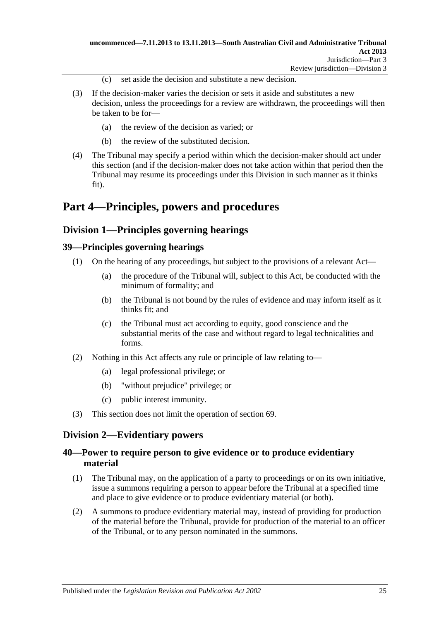- (c) set aside the decision and substitute a new decision.
- (3) If the decision-maker varies the decision or sets it aside and substitutes a new decision, unless the proceedings for a review are withdrawn, the proceedings will then be taken to be for—
	- (a) the review of the decision as varied; or
	- (b) the review of the substituted decision.
- (4) The Tribunal may specify a period within which the decision-maker should act under this section (and if the decision-maker does not take action within that period then the Tribunal may resume its proceedings under this Division in such manner as it thinks fit).

## <span id="page-24-0"></span>**Part 4—Principles, powers and procedures**

## <span id="page-24-1"></span>**Division 1—Principles governing hearings**

### <span id="page-24-2"></span>**39—Principles governing hearings**

- (1) On the hearing of any proceedings, but subject to the provisions of a relevant Act—
	- (a) the procedure of the Tribunal will, subject to this Act, be conducted with the minimum of formality; and
	- (b) the Tribunal is not bound by the rules of evidence and may inform itself as it thinks fit; and
	- (c) the Tribunal must act according to equity, good conscience and the substantial merits of the case and without regard to legal technicalities and forms.
- (2) Nothing in this Act affects any rule or principle of law relating to—
	- (a) legal professional privilege; or
	- (b) "without prejudice" privilege; or
	- (c) public interest immunity.
- (3) This section does not limit the operation of [section](#page-37-1) 69.

## <span id="page-24-3"></span>**Division 2—Evidentiary powers**

### <span id="page-24-4"></span>**40—Power to require person to give evidence or to produce evidentiary material**

- (1) The Tribunal may, on the application of a party to proceedings or on its own initiative, issue a summons requiring a person to appear before the Tribunal at a specified time and place to give evidence or to produce evidentiary material (or both).
- (2) A summons to produce evidentiary material may, instead of providing for production of the material before the Tribunal, provide for production of the material to an officer of the Tribunal, or to any person nominated in the summons.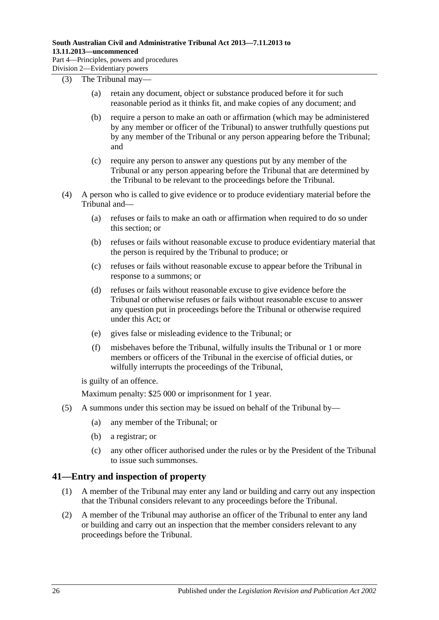#### (3) The Tribunal may—

- (a) retain any document, object or substance produced before it for such reasonable period as it thinks fit, and make copies of any document; and
- (b) require a person to make an oath or affirmation (which may be administered by any member or officer of the Tribunal) to answer truthfully questions put by any member of the Tribunal or any person appearing before the Tribunal; and
- (c) require any person to answer any questions put by any member of the Tribunal or any person appearing before the Tribunal that are determined by the Tribunal to be relevant to the proceedings before the Tribunal.
- (4) A person who is called to give evidence or to produce evidentiary material before the Tribunal and—
	- (a) refuses or fails to make an oath or affirmation when required to do so under this section; or
	- (b) refuses or fails without reasonable excuse to produce evidentiary material that the person is required by the Tribunal to produce; or
	- (c) refuses or fails without reasonable excuse to appear before the Tribunal in response to a summons; or
	- (d) refuses or fails without reasonable excuse to give evidence before the Tribunal or otherwise refuses or fails without reasonable excuse to answer any question put in proceedings before the Tribunal or otherwise required under this Act; or
	- (e) gives false or misleading evidence to the Tribunal; or
	- (f) misbehaves before the Tribunal, wilfully insults the Tribunal or 1 or more members or officers of the Tribunal in the exercise of official duties, or wilfully interrupts the proceedings of the Tribunal,

is guilty of an offence.

Maximum penalty: \$25 000 or imprisonment for 1 year.

- (5) A summons under this section may be issued on behalf of the Tribunal by—
	- (a) any member of the Tribunal; or
	- (b) a registrar; or
	- (c) any other officer authorised under the rules or by the President of the Tribunal to issue such summonses.

### <span id="page-25-0"></span>**41—Entry and inspection of property**

- (1) A member of the Tribunal may enter any land or building and carry out any inspection that the Tribunal considers relevant to any proceedings before the Tribunal.
- (2) A member of the Tribunal may authorise an officer of the Tribunal to enter any land or building and carry out an inspection that the member considers relevant to any proceedings before the Tribunal.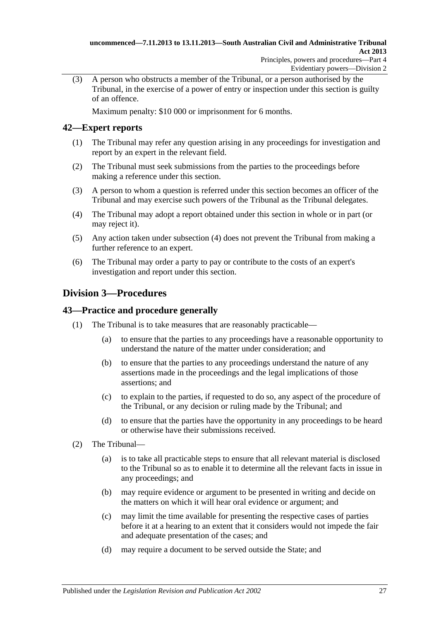(3) A person who obstructs a member of the Tribunal, or a person authorised by the Tribunal, in the exercise of a power of entry or inspection under this section is guilty of an offence.

Maximum penalty: \$10 000 or imprisonment for 6 months.

### <span id="page-26-0"></span>**42—Expert reports**

- (1) The Tribunal may refer any question arising in any proceedings for investigation and report by an expert in the relevant field.
- (2) The Tribunal must seek submissions from the parties to the proceedings before making a reference under this section.
- (3) A person to whom a question is referred under this section becomes an officer of the Tribunal and may exercise such powers of the Tribunal as the Tribunal delegates.
- <span id="page-26-3"></span>(4) The Tribunal may adopt a report obtained under this section in whole or in part (or may reject it).
- (5) Any action taken under [subsection](#page-26-3) (4) does not prevent the Tribunal from making a further reference to an expert.
- (6) The Tribunal may order a party to pay or contribute to the costs of an expert's investigation and report under this section.

## <span id="page-26-1"></span>**Division 3—Procedures**

### <span id="page-26-2"></span>**43—Practice and procedure generally**

- (1) The Tribunal is to take measures that are reasonably practicable—
	- (a) to ensure that the parties to any proceedings have a reasonable opportunity to understand the nature of the matter under consideration; and
	- (b) to ensure that the parties to any proceedings understand the nature of any assertions made in the proceedings and the legal implications of those assertions; and
	- (c) to explain to the parties, if requested to do so, any aspect of the procedure of the Tribunal, or any decision or ruling made by the Tribunal; and
	- (d) to ensure that the parties have the opportunity in any proceedings to be heard or otherwise have their submissions received.
- (2) The Tribunal—
	- (a) is to take all practicable steps to ensure that all relevant material is disclosed to the Tribunal so as to enable it to determine all the relevant facts in issue in any proceedings; and
	- (b) may require evidence or argument to be presented in writing and decide on the matters on which it will hear oral evidence or argument; and
	- (c) may limit the time available for presenting the respective cases of parties before it at a hearing to an extent that it considers would not impede the fair and adequate presentation of the cases; and
	- (d) may require a document to be served outside the State; and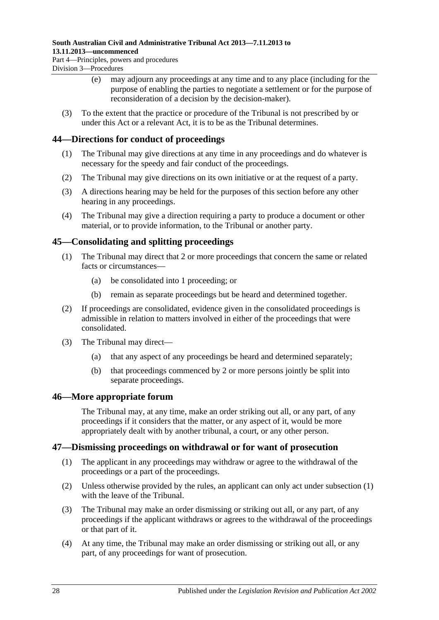## **South Australian Civil and Administrative Tribunal Act 2013—7.11.2013 to 13.11.2013—uncommenced**

Part 4—Principles, powers and procedures Division 3—Procedures

- (e) may adjourn any proceedings at any time and to any place (including for the purpose of enabling the parties to negotiate a settlement or for the purpose of reconsideration of a decision by the decision-maker).
- (3) To the extent that the practice or procedure of the Tribunal is not prescribed by or under this Act or a relevant Act, it is to be as the Tribunal determines.

### <span id="page-27-0"></span>**44—Directions for conduct of proceedings**

- (1) The Tribunal may give directions at any time in any proceedings and do whatever is necessary for the speedy and fair conduct of the proceedings.
- (2) The Tribunal may give directions on its own initiative or at the request of a party.
- (3) A directions hearing may be held for the purposes of this section before any other hearing in any proceedings.
- (4) The Tribunal may give a direction requiring a party to produce a document or other material, or to provide information, to the Tribunal or another party.

## <span id="page-27-1"></span>**45—Consolidating and splitting proceedings**

- (1) The Tribunal may direct that 2 or more proceedings that concern the same or related facts or circumstances—
	- (a) be consolidated into 1 proceeding; or
	- (b) remain as separate proceedings but be heard and determined together.
- (2) If proceedings are consolidated, evidence given in the consolidated proceedings is admissible in relation to matters involved in either of the proceedings that were consolidated.
- (3) The Tribunal may direct—
	- (a) that any aspect of any proceedings be heard and determined separately;
	- (b) that proceedings commenced by 2 or more persons jointly be split into separate proceedings.

### <span id="page-27-2"></span>**46—More appropriate forum**

The Tribunal may, at any time, make an order striking out all, or any part, of any proceedings if it considers that the matter, or any aspect of it, would be more appropriately dealt with by another tribunal, a court, or any other person.

### <span id="page-27-4"></span><span id="page-27-3"></span>**47—Dismissing proceedings on withdrawal or for want of prosecution**

- (1) The applicant in any proceedings may withdraw or agree to the withdrawal of the proceedings or a part of the proceedings.
- (2) Unless otherwise provided by the rules, an applicant can only act under [subsection](#page-27-4) (1) with the leave of the Tribunal.
- (3) The Tribunal may make an order dismissing or striking out all, or any part, of any proceedings if the applicant withdraws or agrees to the withdrawal of the proceedings or that part of it.
- <span id="page-27-5"></span>(4) At any time, the Tribunal may make an order dismissing or striking out all, or any part, of any proceedings for want of prosecution.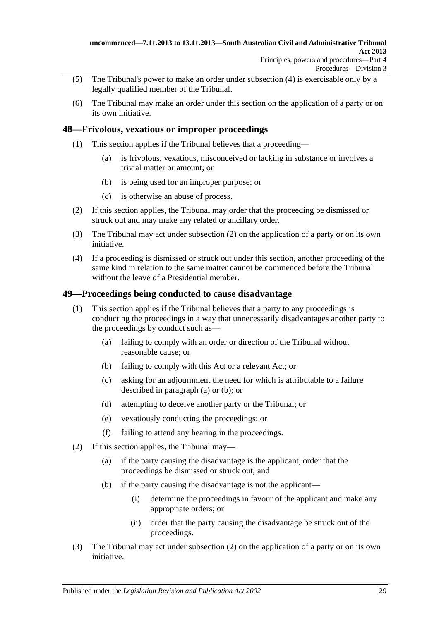- (5) The Tribunal's power to make an order under [subsection](#page-27-5) (4) is exercisable only by a legally qualified member of the Tribunal.
- (6) The Tribunal may make an order under this section on the application of a party or on its own initiative.

### <span id="page-28-0"></span>**48—Frivolous, vexatious or improper proceedings**

- (1) This section applies if the Tribunal believes that a proceeding—
	- (a) is frivolous, vexatious, misconceived or lacking in substance or involves a trivial matter or amount; or
	- (b) is being used for an improper purpose; or
	- (c) is otherwise an abuse of process.
- <span id="page-28-2"></span>(2) If this section applies, the Tribunal may order that the proceeding be dismissed or struck out and may make any related or ancillary order.
- (3) The Tribunal may act under [subsection](#page-28-2) (2) on the application of a party or on its own initiative.
- (4) If a proceeding is dismissed or struck out under this section, another proceeding of the same kind in relation to the same matter cannot be commenced before the Tribunal without the leave of a Presidential member.

### <span id="page-28-1"></span>**49—Proceedings being conducted to cause disadvantage**

- <span id="page-28-4"></span><span id="page-28-3"></span>(1) This section applies if the Tribunal believes that a party to any proceedings is conducting the proceedings in a way that unnecessarily disadvantages another party to the proceedings by conduct such as—
	- (a) failing to comply with an order or direction of the Tribunal without reasonable cause; or
	- (b) failing to comply with this Act or a relevant Act; or
	- (c) asking for an adjournment the need for which is attributable to a failure described in [paragraph](#page-28-3) (a) or [\(b\);](#page-28-4) or
	- (d) attempting to deceive another party or the Tribunal; or
	- (e) vexatiously conducting the proceedings; or
	- (f) failing to attend any hearing in the proceedings.
- <span id="page-28-5"></span>(2) If this section applies, the Tribunal may—
	- (a) if the party causing the disadvantage is the applicant, order that the proceedings be dismissed or struck out; and
	- (b) if the party causing the disadvantage is not the applicant—
		- (i) determine the proceedings in favour of the applicant and make any appropriate orders; or
		- (ii) order that the party causing the disadvantage be struck out of the proceedings.
- (3) The Tribunal may act under [subsection](#page-28-5) (2) on the application of a party or on its own initiative.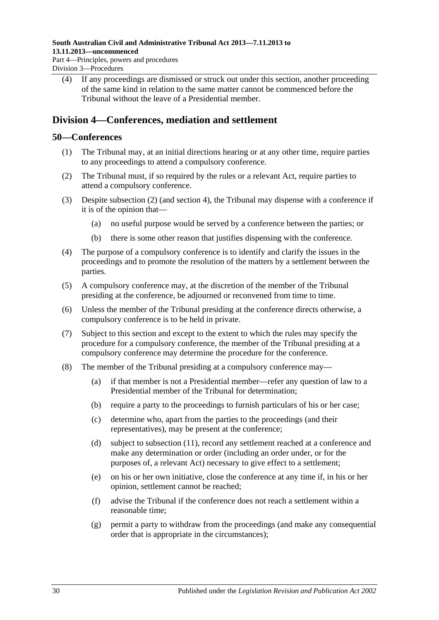(4) If any proceedings are dismissed or struck out under this section, another proceeding of the same kind in relation to the same matter cannot be commenced before the Tribunal without the leave of a Presidential member.

## <span id="page-29-0"></span>**Division 4—Conferences, mediation and settlement**

#### <span id="page-29-1"></span>**50—Conferences**

- (1) The Tribunal may, at an initial directions hearing or at any other time, require parties to any proceedings to attend a compulsory conference.
- <span id="page-29-2"></span>(2) The Tribunal must, if so required by the rules or a relevant Act, require parties to attend a compulsory conference.
- (3) Despite [subsection](#page-29-2) (2) (and [section](#page-5-0) 4), the Tribunal may dispense with a conference if it is of the opinion that—
	- (a) no useful purpose would be served by a conference between the parties; or
	- (b) there is some other reason that justifies dispensing with the conference.
- (4) The purpose of a compulsory conference is to identify and clarify the issues in the proceedings and to promote the resolution of the matters by a settlement between the parties.
- (5) A compulsory conference may, at the discretion of the member of the Tribunal presiding at the conference, be adjourned or reconvened from time to time.
- (6) Unless the member of the Tribunal presiding at the conference directs otherwise, a compulsory conference is to be held in private.
- (7) Subject to this section and except to the extent to which the rules may specify the procedure for a compulsory conference, the member of the Tribunal presiding at a compulsory conference may determine the procedure for the conference.
- <span id="page-29-3"></span>(8) The member of the Tribunal presiding at a compulsory conference may—
	- (a) if that member is not a Presidential member—refer any question of law to a Presidential member of the Tribunal for determination;
	- (b) require a party to the proceedings to furnish particulars of his or her case;
	- (c) determine who, apart from the parties to the proceedings (and their representatives), may be present at the conference;
	- (d) subject to [subsection](#page-30-1) (11), record any settlement reached at a conference and make any determination or order (including an order under, or for the purposes of, a relevant Act) necessary to give effect to a settlement;
	- (e) on his or her own initiative, close the conference at any time if, in his or her opinion, settlement cannot be reached;
	- (f) advise the Tribunal if the conference does not reach a settlement within a reasonable time;
	- (g) permit a party to withdraw from the proceedings (and make any consequential order that is appropriate in the circumstances);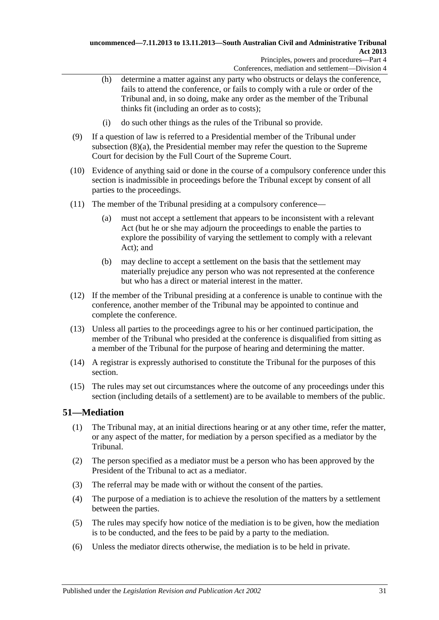- (h) determine a matter against any party who obstructs or delays the conference, fails to attend the conference, or fails to comply with a rule or order of the Tribunal and, in so doing, make any order as the member of the Tribunal thinks fit (including an order as to costs);
- (i) do such other things as the rules of the Tribunal so provide.
- (9) If a question of law is referred to a Presidential member of the Tribunal under [subsection](#page-29-3) (8)(a), the Presidential member may refer the question to the Supreme Court for decision by the Full Court of the Supreme Court.
- (10) Evidence of anything said or done in the course of a compulsory conference under this section is inadmissible in proceedings before the Tribunal except by consent of all parties to the proceedings.
- <span id="page-30-1"></span>(11) The member of the Tribunal presiding at a compulsory conference—
	- (a) must not accept a settlement that appears to be inconsistent with a relevant Act (but he or she may adjourn the proceedings to enable the parties to explore the possibility of varying the settlement to comply with a relevant Act); and
	- (b) may decline to accept a settlement on the basis that the settlement may materially prejudice any person who was not represented at the conference but who has a direct or material interest in the matter.
- (12) If the member of the Tribunal presiding at a conference is unable to continue with the conference, another member of the Tribunal may be appointed to continue and complete the conference.
- (13) Unless all parties to the proceedings agree to his or her continued participation, the member of the Tribunal who presided at the conference is disqualified from sitting as a member of the Tribunal for the purpose of hearing and determining the matter.
- (14) A registrar is expressly authorised to constitute the Tribunal for the purposes of this section.
- (15) The rules may set out circumstances where the outcome of any proceedings under this section (including details of a settlement) are to be available to members of the public.

## <span id="page-30-0"></span>**51—Mediation**

- (1) The Tribunal may, at an initial directions hearing or at any other time, refer the matter, or any aspect of the matter, for mediation by a person specified as a mediator by the Tribunal.
- (2) The person specified as a mediator must be a person who has been approved by the President of the Tribunal to act as a mediator.
- (3) The referral may be made with or without the consent of the parties.
- (4) The purpose of a mediation is to achieve the resolution of the matters by a settlement between the parties.
- (5) The rules may specify how notice of the mediation is to be given, how the mediation is to be conducted, and the fees to be paid by a party to the mediation.
- (6) Unless the mediator directs otherwise, the mediation is to be held in private.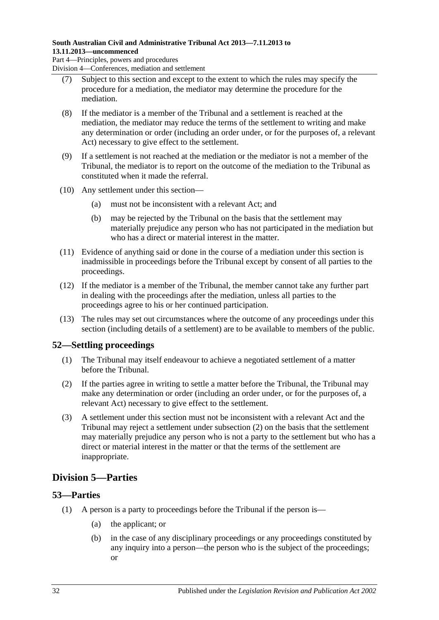### **South Australian Civil and Administrative Tribunal Act 2013—7.11.2013 to 13.11.2013—uncommenced**

Part 4—Principles, powers and procedures Division 4—Conferences, mediation and settlement

- (7) Subject to this section and except to the extent to which the rules may specify the procedure for a mediation, the mediator may determine the procedure for the mediation.
- (8) If the mediator is a member of the Tribunal and a settlement is reached at the mediation, the mediator may reduce the terms of the settlement to writing and make any determination or order (including an order under, or for the purposes of, a relevant Act) necessary to give effect to the settlement.
- (9) If a settlement is not reached at the mediation or the mediator is not a member of the Tribunal, the mediator is to report on the outcome of the mediation to the Tribunal as constituted when it made the referral.
- (10) Any settlement under this section—
	- (a) must not be inconsistent with a relevant Act; and
	- (b) may be rejected by the Tribunal on the basis that the settlement may materially prejudice any person who has not participated in the mediation but who has a direct or material interest in the matter.
- (11) Evidence of anything said or done in the course of a mediation under this section is inadmissible in proceedings before the Tribunal except by consent of all parties to the proceedings.
- (12) If the mediator is a member of the Tribunal, the member cannot take any further part in dealing with the proceedings after the mediation, unless all parties to the proceedings agree to his or her continued participation.
- (13) The rules may set out circumstances where the outcome of any proceedings under this section (including details of a settlement) are to be available to members of the public.

## <span id="page-31-0"></span>**52—Settling proceedings**

- (1) The Tribunal may itself endeavour to achieve a negotiated settlement of a matter before the Tribunal.
- <span id="page-31-3"></span>(2) If the parties agree in writing to settle a matter before the Tribunal, the Tribunal may make any determination or order (including an order under, or for the purposes of, a relevant Act) necessary to give effect to the settlement.
- (3) A settlement under this section must not be inconsistent with a relevant Act and the Tribunal may reject a settlement under [subsection](#page-31-3) (2) on the basis that the settlement may materially prejudice any person who is not a party to the settlement but who has a direct or material interest in the matter or that the terms of the settlement are inappropriate.

## <span id="page-31-1"></span>**Division 5—Parties**

## <span id="page-31-4"></span><span id="page-31-2"></span>**53—Parties**

- (1) A person is a party to proceedings before the Tribunal if the person is—
	- (a) the applicant; or
	- (b) in the case of any disciplinary proceedings or any proceedings constituted by any inquiry into a person—the person who is the subject of the proceedings; or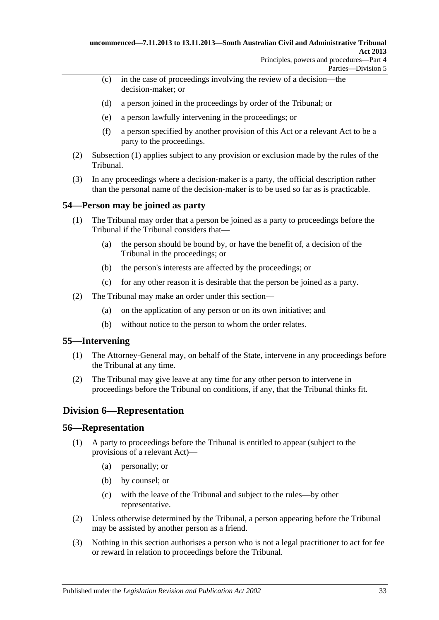- (c) in the case of proceedings involving the review of a decision—the decision-maker; or
- (d) a person joined in the proceedings by order of the Tribunal; or
- (e) a person lawfully intervening in the proceedings; or
- (f) a person specified by another provision of this Act or a relevant Act to be a party to the proceedings.
- (2) [Subsection](#page-31-4) (1) applies subject to any provision or exclusion made by the rules of the Tribunal.
- (3) In any proceedings where a decision-maker is a party, the official description rather than the personal name of the decision-maker is to be used so far as is practicable.

### <span id="page-32-0"></span>**54—Person may be joined as party**

- (1) The Tribunal may order that a person be joined as a party to proceedings before the Tribunal if the Tribunal considers that—
	- (a) the person should be bound by, or have the benefit of, a decision of the Tribunal in the proceedings; or
	- (b) the person's interests are affected by the proceedings; or
	- (c) for any other reason it is desirable that the person be joined as a party.
- (2) The Tribunal may make an order under this section—
	- (a) on the application of any person or on its own initiative; and
	- (b) without notice to the person to whom the order relates.

#### <span id="page-32-1"></span>**55—Intervening**

- (1) The Attorney-General may, on behalf of the State, intervene in any proceedings before the Tribunal at any time.
- (2) The Tribunal may give leave at any time for any other person to intervene in proceedings before the Tribunal on conditions, if any, that the Tribunal thinks fit.

### <span id="page-32-2"></span>**Division 6—Representation**

#### <span id="page-32-3"></span>**56—Representation**

- (1) A party to proceedings before the Tribunal is entitled to appear (subject to the provisions of a relevant Act)—
	- (a) personally; or
	- (b) by counsel; or
	- (c) with the leave of the Tribunal and subject to the rules—by other representative.
- (2) Unless otherwise determined by the Tribunal, a person appearing before the Tribunal may be assisted by another person as a friend.
- (3) Nothing in this section authorises a person who is not a legal practitioner to act for fee or reward in relation to proceedings before the Tribunal.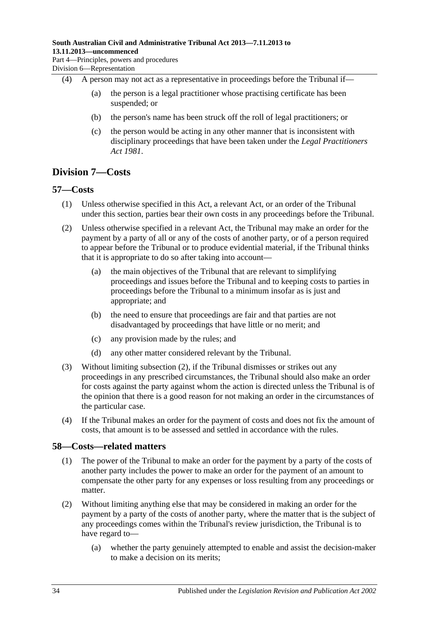- (4) A person may not act as a representative in proceedings before the Tribunal if—
	- (a) the person is a legal practitioner whose practising certificate has been suspended; or
	- (b) the person's name has been struck off the roll of legal practitioners; or
	- (c) the person would be acting in any other manner that is inconsistent with disciplinary proceedings that have been taken under the *[Legal Practitioners](http://www.legislation.sa.gov.au/index.aspx?action=legref&type=act&legtitle=Legal%20Practitioners%20Act%201981)  Act [1981](http://www.legislation.sa.gov.au/index.aspx?action=legref&type=act&legtitle=Legal%20Practitioners%20Act%201981)*.

## <span id="page-33-0"></span>**Division 7—Costs**

#### <span id="page-33-1"></span>**57—Costs**

- (1) Unless otherwise specified in this Act, a relevant Act, or an order of the Tribunal under this section, parties bear their own costs in any proceedings before the Tribunal.
- <span id="page-33-3"></span>(2) Unless otherwise specified in a relevant Act, the Tribunal may make an order for the payment by a party of all or any of the costs of another party, or of a person required to appear before the Tribunal or to produce evidential material, if the Tribunal thinks that it is appropriate to do so after taking into account—
	- (a) the main objectives of the Tribunal that are relevant to simplifying proceedings and issues before the Tribunal and to keeping costs to parties in proceedings before the Tribunal to a minimum insofar as is just and appropriate; and
	- (b) the need to ensure that proceedings are fair and that parties are not disadvantaged by proceedings that have little or no merit; and
	- (c) any provision made by the rules; and
	- (d) any other matter considered relevant by the Tribunal.
- (3) Without limiting [subsection](#page-33-3) (2), if the Tribunal dismisses or strikes out any proceedings in any prescribed circumstances, the Tribunal should also make an order for costs against the party against whom the action is directed unless the Tribunal is of the opinion that there is a good reason for not making an order in the circumstances of the particular case.
- (4) If the Tribunal makes an order for the payment of costs and does not fix the amount of costs, that amount is to be assessed and settled in accordance with the rules.

#### <span id="page-33-2"></span>**58—Costs—related matters**

- (1) The power of the Tribunal to make an order for the payment by a party of the costs of another party includes the power to make an order for the payment of an amount to compensate the other party for any expenses or loss resulting from any proceedings or matter.
- (2) Without limiting anything else that may be considered in making an order for the payment by a party of the costs of another party, where the matter that is the subject of any proceedings comes within the Tribunal's review jurisdiction, the Tribunal is to have regard to—
	- (a) whether the party genuinely attempted to enable and assist the decision-maker to make a decision on its merits;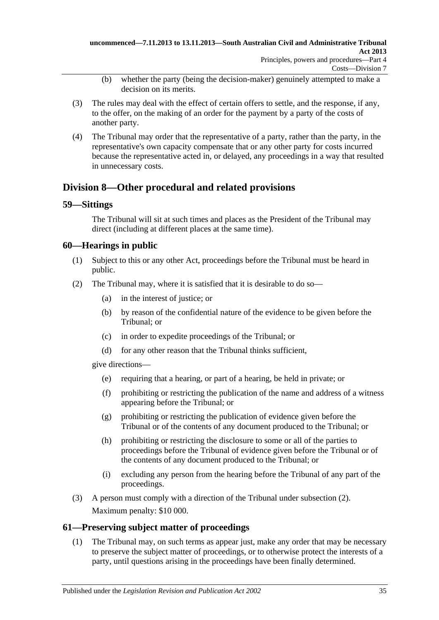- (b) whether the party (being the decision-maker) genuinely attempted to make a decision on its merits.
- (3) The rules may deal with the effect of certain offers to settle, and the response, if any, to the offer, on the making of an order for the payment by a party of the costs of another party.
- (4) The Tribunal may order that the representative of a party, rather than the party, in the representative's own capacity compensate that or any other party for costs incurred because the representative acted in, or delayed, any proceedings in a way that resulted in unnecessary costs.

## <span id="page-34-0"></span>**Division 8—Other procedural and related provisions**

### <span id="page-34-1"></span>**59—Sittings**

The Tribunal will sit at such times and places as the President of the Tribunal may direct (including at different places at the same time).

## <span id="page-34-2"></span>**60—Hearings in public**

- (1) Subject to this or any other Act, proceedings before the Tribunal must be heard in public.
- <span id="page-34-4"></span>(2) The Tribunal may, where it is satisfied that it is desirable to do so—
	- (a) in the interest of justice; or
	- (b) by reason of the confidential nature of the evidence to be given before the Tribunal; or
	- (c) in order to expedite proceedings of the Tribunal; or
	- (d) for any other reason that the Tribunal thinks sufficient,

give directions—

- (e) requiring that a hearing, or part of a hearing, be held in private; or
- (f) prohibiting or restricting the publication of the name and address of a witness appearing before the Tribunal; or
- (g) prohibiting or restricting the publication of evidence given before the Tribunal or of the contents of any document produced to the Tribunal; or
- (h) prohibiting or restricting the disclosure to some or all of the parties to proceedings before the Tribunal of evidence given before the Tribunal or of the contents of any document produced to the Tribunal; or
- (i) excluding any person from the hearing before the Tribunal of any part of the proceedings.
- (3) A person must comply with a direction of the Tribunal under [subsection](#page-34-4) (2). Maximum penalty: \$10 000.

### <span id="page-34-5"></span><span id="page-34-3"></span>**61—Preserving subject matter of proceedings**

(1) The Tribunal may, on such terms as appear just, make any order that may be necessary to preserve the subject matter of proceedings, or to otherwise protect the interests of a party, until questions arising in the proceedings have been finally determined.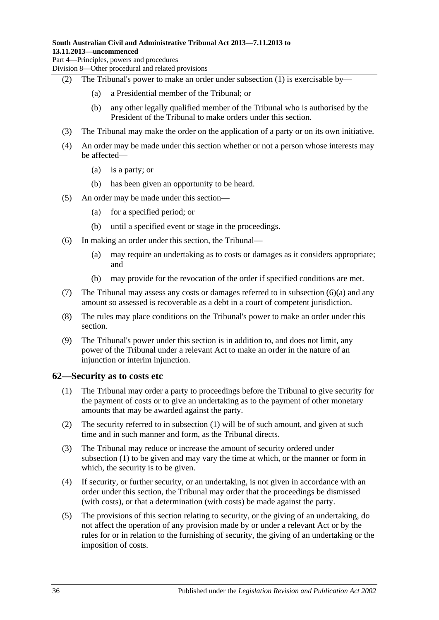#### **South Australian Civil and Administrative Tribunal Act 2013—7.11.2013 to 13.11.2013—uncommenced**

Part 4—Principles, powers and procedures

Division 8—Other procedural and related provisions

- (2) The Tribunal's power to make an order under [subsection](#page-34-5) (1) is exercisable by—
	- (a) a Presidential member of the Tribunal; or
	- (b) any other legally qualified member of the Tribunal who is authorised by the President of the Tribunal to make orders under this section.
- (3) The Tribunal may make the order on the application of a party or on its own initiative.
- (4) An order may be made under this section whether or not a person whose interests may be affected—
	- (a) is a party; or
	- (b) has been given an opportunity to be heard.
- (5) An order may be made under this section—
	- (a) for a specified period; or
	- (b) until a specified event or stage in the proceedings.
- <span id="page-35-1"></span>(6) In making an order under this section, the Tribunal—
	- (a) may require an undertaking as to costs or damages as it considers appropriate; and
	- (b) may provide for the revocation of the order if specified conditions are met.
- (7) The Tribunal may assess any costs or damages referred to in [subsection](#page-35-1) (6)(a) and any amount so assessed is recoverable as a debt in a court of competent jurisdiction.
- (8) The rules may place conditions on the Tribunal's power to make an order under this section.
- (9) The Tribunal's power under this section is in addition to, and does not limit, any power of the Tribunal under a relevant Act to make an order in the nature of an injunction or interim injunction.

#### <span id="page-35-2"></span><span id="page-35-0"></span>**62—Security as to costs etc**

- (1) The Tribunal may order a party to proceedings before the Tribunal to give security for the payment of costs or to give an undertaking as to the payment of other monetary amounts that may be awarded against the party.
- (2) The security referred to in [subsection](#page-35-2) (1) will be of such amount, and given at such time and in such manner and form, as the Tribunal directs.
- (3) The Tribunal may reduce or increase the amount of security ordered under [subsection](#page-35-2) (1) to be given and may vary the time at which, or the manner or form in which, the security is to be given.
- (4) If security, or further security, or an undertaking, is not given in accordance with an order under this section, the Tribunal may order that the proceedings be dismissed (with costs), or that a determination (with costs) be made against the party.
- (5) The provisions of this section relating to security, or the giving of an undertaking, do not affect the operation of any provision made by or under a relevant Act or by the rules for or in relation to the furnishing of security, the giving of an undertaking or the imposition of costs.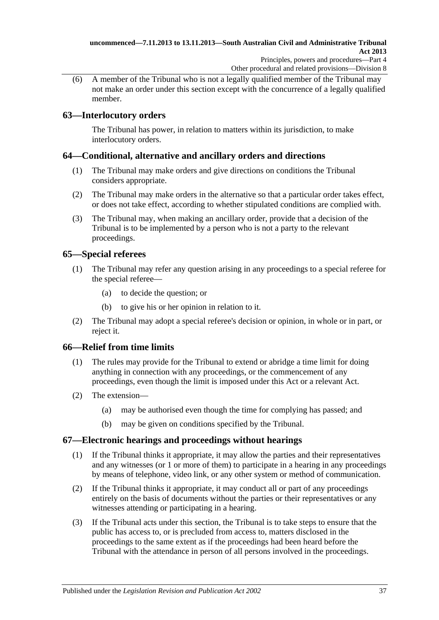(6) A member of the Tribunal who is not a legally qualified member of the Tribunal may not make an order under this section except with the concurrence of a legally qualified member.

## <span id="page-36-0"></span>**63—Interlocutory orders**

The Tribunal has power, in relation to matters within its jurisdiction, to make interlocutory orders.

## <span id="page-36-1"></span>**64—Conditional, alternative and ancillary orders and directions**

- (1) The Tribunal may make orders and give directions on conditions the Tribunal considers appropriate.
- (2) The Tribunal may make orders in the alternative so that a particular order takes effect, or does not take effect, according to whether stipulated conditions are complied with.
- (3) The Tribunal may, when making an ancillary order, provide that a decision of the Tribunal is to be implemented by a person who is not a party to the relevant proceedings.

## <span id="page-36-2"></span>**65—Special referees**

- (1) The Tribunal may refer any question arising in any proceedings to a special referee for the special referee—
	- (a) to decide the question; or
	- (b) to give his or her opinion in relation to it.
- (2) The Tribunal may adopt a special referee's decision or opinion, in whole or in part, or reject it.

## <span id="page-36-3"></span>**66—Relief from time limits**

- (1) The rules may provide for the Tribunal to extend or abridge a time limit for doing anything in connection with any proceedings, or the commencement of any proceedings, even though the limit is imposed under this Act or a relevant Act.
- (2) The extension—
	- (a) may be authorised even though the time for complying has passed; and
	- (b) may be given on conditions specified by the Tribunal.

### <span id="page-36-4"></span>**67—Electronic hearings and proceedings without hearings**

- (1) If the Tribunal thinks it appropriate, it may allow the parties and their representatives and any witnesses (or 1 or more of them) to participate in a hearing in any proceedings by means of telephone, video link, or any other system or method of communication.
- (2) If the Tribunal thinks it appropriate, it may conduct all or part of any proceedings entirely on the basis of documents without the parties or their representatives or any witnesses attending or participating in a hearing.
- (3) If the Tribunal acts under this section, the Tribunal is to take steps to ensure that the public has access to, or is precluded from access to, matters disclosed in the proceedings to the same extent as if the proceedings had been heard before the Tribunal with the attendance in person of all persons involved in the proceedings.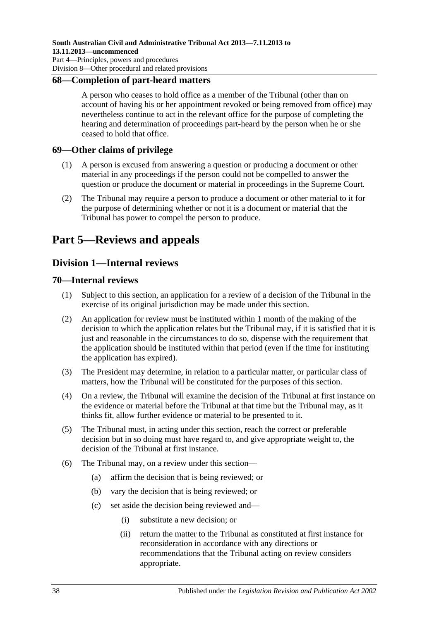#### <span id="page-37-0"></span>**68—Completion of part-heard matters**

A person who ceases to hold office as a member of the Tribunal (other than on account of having his or her appointment revoked or being removed from office) may nevertheless continue to act in the relevant office for the purpose of completing the hearing and determination of proceedings part-heard by the person when he or she ceased to hold that office.

#### <span id="page-37-1"></span>**69—Other claims of privilege**

- (1) A person is excused from answering a question or producing a document or other material in any proceedings if the person could not be compelled to answer the question or produce the document or material in proceedings in the Supreme Court.
- (2) The Tribunal may require a person to produce a document or other material to it for the purpose of determining whether or not it is a document or material that the Tribunal has power to compel the person to produce.

## <span id="page-37-2"></span>**Part 5—Reviews and appeals**

## <span id="page-37-3"></span>**Division 1—Internal reviews**

#### <span id="page-37-4"></span>**70—Internal reviews**

- (1) Subject to this section, an application for a review of a decision of the Tribunal in the exercise of its original jurisdiction may be made under this section.
- (2) An application for review must be instituted within 1 month of the making of the decision to which the application relates but the Tribunal may, if it is satisfied that it is just and reasonable in the circumstances to do so, dispense with the requirement that the application should be instituted within that period (even if the time for instituting the application has expired).
- (3) The President may determine, in relation to a particular matter, or particular class of matters, how the Tribunal will be constituted for the purposes of this section.
- (4) On a review, the Tribunal will examine the decision of the Tribunal at first instance on the evidence or material before the Tribunal at that time but the Tribunal may, as it thinks fit, allow further evidence or material to be presented to it.
- (5) The Tribunal must, in acting under this section, reach the correct or preferable decision but in so doing must have regard to, and give appropriate weight to, the decision of the Tribunal at first instance.
- (6) The Tribunal may, on a review under this section—
	- (a) affirm the decision that is being reviewed; or
	- (b) vary the decision that is being reviewed; or
	- (c) set aside the decision being reviewed and—
		- (i) substitute a new decision; or
		- (ii) return the matter to the Tribunal as constituted at first instance for reconsideration in accordance with any directions or recommendations that the Tribunal acting on review considers appropriate.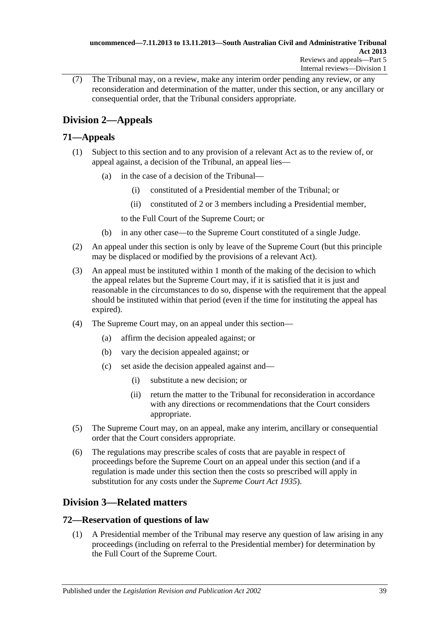(7) The Tribunal may, on a review, make any interim order pending any review, or any reconsideration and determination of the matter, under this section, or any ancillary or consequential order, that the Tribunal considers appropriate.

## <span id="page-38-0"></span>**Division 2—Appeals**

## <span id="page-38-1"></span>**71—Appeals**

- (1) Subject to this section and to any provision of a relevant Act as to the review of, or appeal against, a decision of the Tribunal, an appeal lies—
	- (a) in the case of a decision of the Tribunal—
		- (i) constituted of a Presidential member of the Tribunal; or
		- (ii) constituted of 2 or 3 members including a Presidential member,
		- to the Full Court of the Supreme Court; or
	- (b) in any other case—to the Supreme Court constituted of a single Judge.
- (2) An appeal under this section is only by leave of the Supreme Court (but this principle may be displaced or modified by the provisions of a relevant Act).
- (3) An appeal must be instituted within 1 month of the making of the decision to which the appeal relates but the Supreme Court may, if it is satisfied that it is just and reasonable in the circumstances to do so, dispense with the requirement that the appeal should be instituted within that period (even if the time for instituting the appeal has expired).
- (4) The Supreme Court may, on an appeal under this section—
	- (a) affirm the decision appealed against; or
	- (b) vary the decision appealed against; or
	- (c) set aside the decision appealed against and—
		- (i) substitute a new decision; or
		- (ii) return the matter to the Tribunal for reconsideration in accordance with any directions or recommendations that the Court considers appropriate.
- (5) The Supreme Court may, on an appeal, make any interim, ancillary or consequential order that the Court considers appropriate.
- (6) The regulations may prescribe scales of costs that are payable in respect of proceedings before the Supreme Court on an appeal under this section (and if a regulation is made under this section then the costs so prescribed will apply in substitution for any costs under the *[Supreme Court Act](http://www.legislation.sa.gov.au/index.aspx?action=legref&type=act&legtitle=Supreme%20Court%20Act%201935) 1935*).

## <span id="page-38-2"></span>**Division 3—Related matters**

## <span id="page-38-3"></span>**72—Reservation of questions of law**

(1) A Presidential member of the Tribunal may reserve any question of law arising in any proceedings (including on referral to the Presidential member) for determination by the Full Court of the Supreme Court.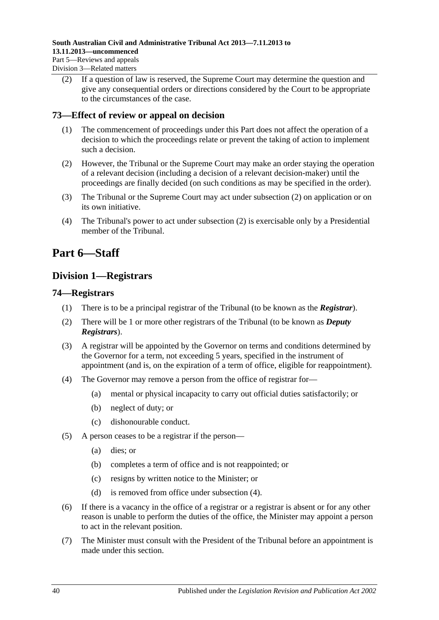(2) If a question of law is reserved, the Supreme Court may determine the question and give any consequential orders or directions considered by the Court to be appropriate to the circumstances of the case.

### <span id="page-39-0"></span>**73—Effect of review or appeal on decision**

- (1) The commencement of proceedings under this Part does not affect the operation of a decision to which the proceedings relate or prevent the taking of action to implement such a decision.
- <span id="page-39-4"></span>(2) However, the Tribunal or the Supreme Court may make an order staying the operation of a relevant decision (including a decision of a relevant decision-maker) until the proceedings are finally decided (on such conditions as may be specified in the order).
- (3) The Tribunal or the Supreme Court may act under [subsection](#page-39-4) (2) on application or on its own initiative.
- (4) The Tribunal's power to act under [subsection](#page-39-4) (2) is exercisable only by a Presidential member of the Tribunal.

## <span id="page-39-2"></span><span id="page-39-1"></span>**Part 6—Staff**

## **Division 1—Registrars**

#### <span id="page-39-3"></span>**74—Registrars**

- (1) There is to be a principal registrar of the Tribunal (to be known as the *Registrar*).
- (2) There will be 1 or more other registrars of the Tribunal (to be known as *Deputy Registrars*).
- (3) A registrar will be appointed by the Governor on terms and conditions determined by the Governor for a term, not exceeding 5 years, specified in the instrument of appointment (and is, on the expiration of a term of office, eligible for reappointment).
- <span id="page-39-5"></span>(4) The Governor may remove a person from the office of registrar for—
	- (a) mental or physical incapacity to carry out official duties satisfactorily; or
	- (b) neglect of duty; or
	- (c) dishonourable conduct.
- (5) A person ceases to be a registrar if the person—
	- (a) dies; or
	- (b) completes a term of office and is not reappointed; or
	- (c) resigns by written notice to the Minister; or
	- (d) is removed from office under [subsection](#page-39-5) (4).
- (6) If there is a vacancy in the office of a registrar or a registrar is absent or for any other reason is unable to perform the duties of the office, the Minister may appoint a person to act in the relevant position.
- (7) The Minister must consult with the President of the Tribunal before an appointment is made under this section.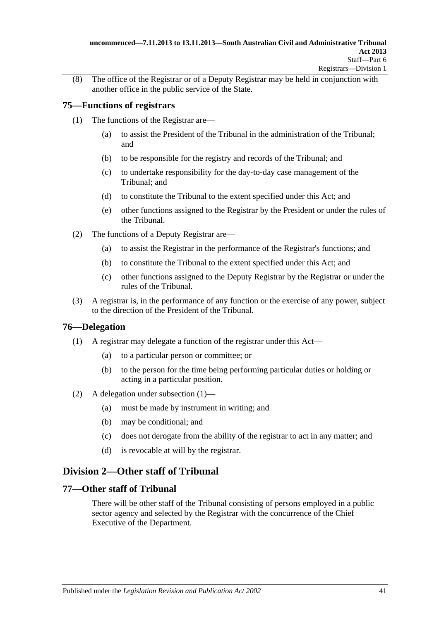(8) The office of the Registrar or of a Deputy Registrar may be held in conjunction with another office in the public service of the State.

### <span id="page-40-0"></span>**75—Functions of registrars**

- (1) The functions of the Registrar are—
	- (a) to assist the President of the Tribunal in the administration of the Tribunal; and
	- (b) to be responsible for the registry and records of the Tribunal; and
	- (c) to undertake responsibility for the day-to-day case management of the Tribunal; and
	- (d) to constitute the Tribunal to the extent specified under this Act; and
	- (e) other functions assigned to the Registrar by the President or under the rules of the Tribunal.
- (2) The functions of a Deputy Registrar are—
	- (a) to assist the Registrar in the performance of the Registrar's functions; and
	- (b) to constitute the Tribunal to the extent specified under this Act; and
	- (c) other functions assigned to the Deputy Registrar by the Registrar or under the rules of the Tribunal.
- (3) A registrar is, in the performance of any function or the exercise of any power, subject to the direction of the President of the Tribunal.

### <span id="page-40-4"></span><span id="page-40-1"></span>**76—Delegation**

- (1) A registrar may delegate a function of the registrar under this Act—
	- (a) to a particular person or committee; or
	- (b) to the person for the time being performing particular duties or holding or acting in a particular position.
- (2) A delegation under [subsection](#page-40-4) (1)—
	- (a) must be made by instrument in writing; and
	- (b) may be conditional; and
	- (c) does not derogate from the ability of the registrar to act in any matter; and
	- (d) is revocable at will by the registrar.

## <span id="page-40-2"></span>**Division 2—Other staff of Tribunal**

### <span id="page-40-3"></span>**77—Other staff of Tribunal**

There will be other staff of the Tribunal consisting of persons employed in a public sector agency and selected by the Registrar with the concurrence of the Chief Executive of the Department.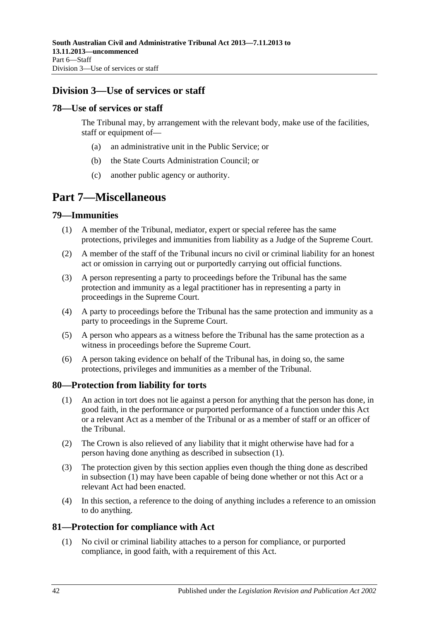## <span id="page-41-0"></span>**Division 3—Use of services or staff**

#### <span id="page-41-1"></span>**78—Use of services or staff**

The Tribunal may, by arrangement with the relevant body, make use of the facilities, staff or equipment of—

- (a) an administrative unit in the Public Service; or
- (b) the State Courts Administration Council; or
- (c) another public agency or authority.

## <span id="page-41-2"></span>**Part 7—Miscellaneous**

#### <span id="page-41-3"></span>**79—Immunities**

- (1) A member of the Tribunal, mediator, expert or special referee has the same protections, privileges and immunities from liability as a Judge of the Supreme Court.
- (2) A member of the staff of the Tribunal incurs no civil or criminal liability for an honest act or omission in carrying out or purportedly carrying out official functions.
- (3) A person representing a party to proceedings before the Tribunal has the same protection and immunity as a legal practitioner has in representing a party in proceedings in the Supreme Court.
- (4) A party to proceedings before the Tribunal has the same protection and immunity as a party to proceedings in the Supreme Court.
- (5) A person who appears as a witness before the Tribunal has the same protection as a witness in proceedings before the Supreme Court.
- (6) A person taking evidence on behalf of the Tribunal has, in doing so, the same protections, privileges and immunities as a member of the Tribunal.

#### <span id="page-41-6"></span><span id="page-41-4"></span>**80—Protection from liability for torts**

- (1) An action in tort does not lie against a person for anything that the person has done, in good faith, in the performance or purported performance of a function under this Act or a relevant Act as a member of the Tribunal or as a member of staff or an officer of the Tribunal.
- (2) The Crown is also relieved of any liability that it might otherwise have had for a person having done anything as described in [subsection](#page-41-6) (1).
- (3) The protection given by this section applies even though the thing done as described in [subsection](#page-41-6) (1) may have been capable of being done whether or not this Act or a relevant Act had been enacted.
- (4) In this section, a reference to the doing of anything includes a reference to an omission to do anything.

### <span id="page-41-5"></span>**81—Protection for compliance with Act**

(1) No civil or criminal liability attaches to a person for compliance, or purported compliance, in good faith, with a requirement of this Act.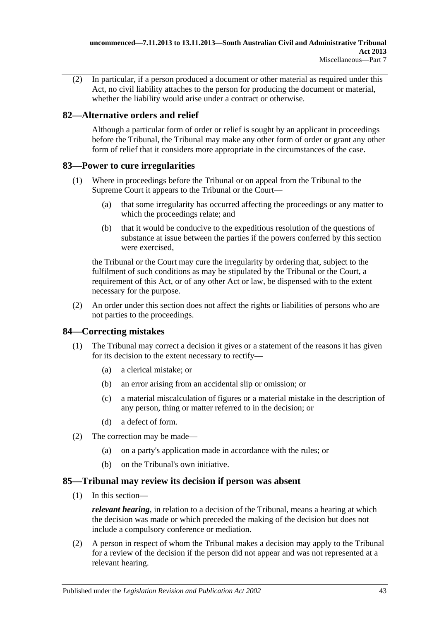(2) In particular, if a person produced a document or other material as required under this Act, no civil liability attaches to the person for producing the document or material, whether the liability would arise under a contract or otherwise.

## <span id="page-42-0"></span>**82—Alternative orders and relief**

Although a particular form of order or relief is sought by an applicant in proceedings before the Tribunal, the Tribunal may make any other form of order or grant any other form of relief that it considers more appropriate in the circumstances of the case.

## <span id="page-42-1"></span>**83—Power to cure irregularities**

- (1) Where in proceedings before the Tribunal or on appeal from the Tribunal to the Supreme Court it appears to the Tribunal or the Court—
	- (a) that some irregularity has occurred affecting the proceedings or any matter to which the proceedings relate; and
	- (b) that it would be conducive to the expeditious resolution of the questions of substance at issue between the parties if the powers conferred by this section were exercised,

the Tribunal or the Court may cure the irregularity by ordering that, subject to the fulfilment of such conditions as may be stipulated by the Tribunal or the Court, a requirement of this Act, or of any other Act or law, be dispensed with to the extent necessary for the purpose.

(2) An order under this section does not affect the rights or liabilities of persons who are not parties to the proceedings.

## <span id="page-42-2"></span>**84—Correcting mistakes**

- (1) The Tribunal may correct a decision it gives or a statement of the reasons it has given for its decision to the extent necessary to rectify—
	- (a) a clerical mistake; or
	- (b) an error arising from an accidental slip or omission; or
	- (c) a material miscalculation of figures or a material mistake in the description of any person, thing or matter referred to in the decision; or
	- (d) a defect of form.
- (2) The correction may be made—
	- (a) on a party's application made in accordance with the rules; or
	- (b) on the Tribunal's own initiative.

### <span id="page-42-3"></span>**85—Tribunal may review its decision if person was absent**

(1) In this section—

*relevant hearing*, in relation to a decision of the Tribunal, means a hearing at which the decision was made or which preceded the making of the decision but does not include a compulsory conference or mediation.

(2) A person in respect of whom the Tribunal makes a decision may apply to the Tribunal for a review of the decision if the person did not appear and was not represented at a relevant hearing.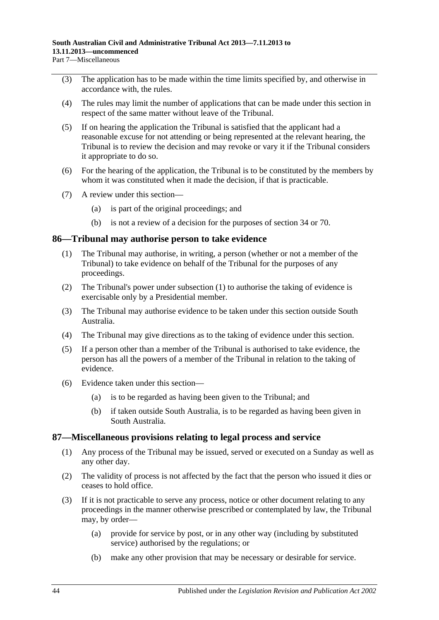- (3) The application has to be made within the time limits specified by, and otherwise in accordance with, the rules.
- (4) The rules may limit the number of applications that can be made under this section in respect of the same matter without leave of the Tribunal.
- (5) If on hearing the application the Tribunal is satisfied that the applicant had a reasonable excuse for not attending or being represented at the relevant hearing, the Tribunal is to review the decision and may revoke or vary it if the Tribunal considers it appropriate to do so.
- (6) For the hearing of the application, the Tribunal is to be constituted by the members by whom it was constituted when it made the decision, if that is practicable.
- (7) A review under this section—
	- (a) is part of the original proceedings; and
	- (b) is not a review of a decision for the purposes of [section](#page-21-3) 34 or [70.](#page-37-4)

#### <span id="page-43-2"></span><span id="page-43-0"></span>**86—Tribunal may authorise person to take evidence**

- (1) The Tribunal may authorise, in writing, a person (whether or not a member of the Tribunal) to take evidence on behalf of the Tribunal for the purposes of any proceedings.
- (2) The Tribunal's power under [subsection](#page-43-2) (1) to authorise the taking of evidence is exercisable only by a Presidential member.
- (3) The Tribunal may authorise evidence to be taken under this section outside South Australia.
- (4) The Tribunal may give directions as to the taking of evidence under this section.
- (5) If a person other than a member of the Tribunal is authorised to take evidence, the person has all the powers of a member of the Tribunal in relation to the taking of evidence.
- (6) Evidence taken under this section—
	- (a) is to be regarded as having been given to the Tribunal; and
	- (b) if taken outside South Australia, is to be regarded as having been given in South Australia.

#### <span id="page-43-1"></span>**87—Miscellaneous provisions relating to legal process and service**

- (1) Any process of the Tribunal may be issued, served or executed on a Sunday as well as any other day.
- (2) The validity of process is not affected by the fact that the person who issued it dies or ceases to hold office.
- <span id="page-43-3"></span>(3) If it is not practicable to serve any process, notice or other document relating to any proceedings in the manner otherwise prescribed or contemplated by law, the Tribunal may, by order—
	- (a) provide for service by post, or in any other way (including by substituted service) authorised by the regulations; or
	- (b) make any other provision that may be necessary or desirable for service.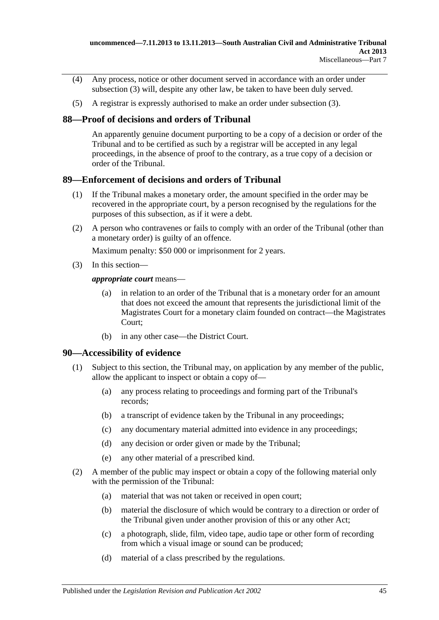- (4) Any process, notice or other document served in accordance with an order under [subsection](#page-43-3) (3) will, despite any other law, be taken to have been duly served.
- (5) A registrar is expressly authorised to make an order under [subsection](#page-43-3) (3).

## <span id="page-44-0"></span>**88—Proof of decisions and orders of Tribunal**

An apparently genuine document purporting to be a copy of a decision or order of the Tribunal and to be certified as such by a registrar will be accepted in any legal proceedings, in the absence of proof to the contrary, as a true copy of a decision or order of the Tribunal.

### <span id="page-44-1"></span>**89—Enforcement of decisions and orders of Tribunal**

- (1) If the Tribunal makes a monetary order, the amount specified in the order may be recovered in the appropriate court, by a person recognised by the regulations for the purposes of this subsection, as if it were a debt.
- (2) A person who contravenes or fails to comply with an order of the Tribunal (other than a monetary order) is guilty of an offence.

Maximum penalty: \$50 000 or imprisonment for 2 years.

(3) In this section—

*appropriate court* means—

- (a) in relation to an order of the Tribunal that is a monetary order for an amount that does not exceed the amount that represents the jurisdictional limit of the Magistrates Court for a monetary claim founded on contract—the Magistrates Court;
- (b) in any other case—the District Court.

### <span id="page-44-3"></span><span id="page-44-2"></span>**90—Accessibility of evidence**

- (1) Subject to this section, the Tribunal may, on application by any member of the public, allow the applicant to inspect or obtain a copy of—
	- (a) any process relating to proceedings and forming part of the Tribunal's records;
	- (b) a transcript of evidence taken by the Tribunal in any proceedings;
	- (c) any documentary material admitted into evidence in any proceedings;
	- (d) any decision or order given or made by the Tribunal;
	- (e) any other material of a prescribed kind.
- <span id="page-44-4"></span>(2) A member of the public may inspect or obtain a copy of the following material only with the permission of the Tribunal:
	- (a) material that was not taken or received in open court;
	- (b) material the disclosure of which would be contrary to a direction or order of the Tribunal given under another provision of this or any other Act;
	- (c) a photograph, slide, film, video tape, audio tape or other form of recording from which a visual image or sound can be produced;
	- (d) material of a class prescribed by the regulations.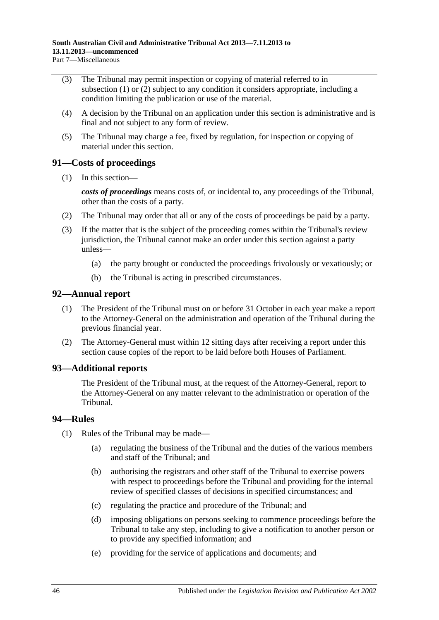- (3) The Tribunal may permit inspection or copying of material referred to in [subsection](#page-44-3) (1) or [\(2\)](#page-44-4) subject to any condition it considers appropriate, including a condition limiting the publication or use of the material.
- (4) A decision by the Tribunal on an application under this section is administrative and is final and not subject to any form of review.
- (5) The Tribunal may charge a fee, fixed by regulation, for inspection or copying of material under this section.

### <span id="page-45-0"></span>**91—Costs of proceedings**

(1) In this section—

*costs of proceedings* means costs of, or incidental to, any proceedings of the Tribunal, other than the costs of a party.

- (2) The Tribunal may order that all or any of the costs of proceedings be paid by a party.
- (3) If the matter that is the subject of the proceeding comes within the Tribunal's review jurisdiction, the Tribunal cannot make an order under this section against a party unless—
	- (a) the party brought or conducted the proceedings frivolously or vexatiously; or
	- (b) the Tribunal is acting in prescribed circumstances.

### <span id="page-45-1"></span>**92—Annual report**

- (1) The President of the Tribunal must on or before 31 October in each year make a report to the Attorney-General on the administration and operation of the Tribunal during the previous financial year.
- (2) The Attorney-General must within 12 sitting days after receiving a report under this section cause copies of the report to be laid before both Houses of Parliament.

### <span id="page-45-2"></span>**93—Additional reports**

The President of the Tribunal must, at the request of the Attorney-General, report to the Attorney-General on any matter relevant to the administration or operation of the Tribunal.

### <span id="page-45-3"></span>**94—Rules**

- (1) Rules of the Tribunal may be made—
	- (a) regulating the business of the Tribunal and the duties of the various members and staff of the Tribunal; and
	- (b) authorising the registrars and other staff of the Tribunal to exercise powers with respect to proceedings before the Tribunal and providing for the internal review of specified classes of decisions in specified circumstances; and
	- (c) regulating the practice and procedure of the Tribunal; and
	- (d) imposing obligations on persons seeking to commence proceedings before the Tribunal to take any step, including to give a notification to another person or to provide any specified information; and
	- (e) providing for the service of applications and documents; and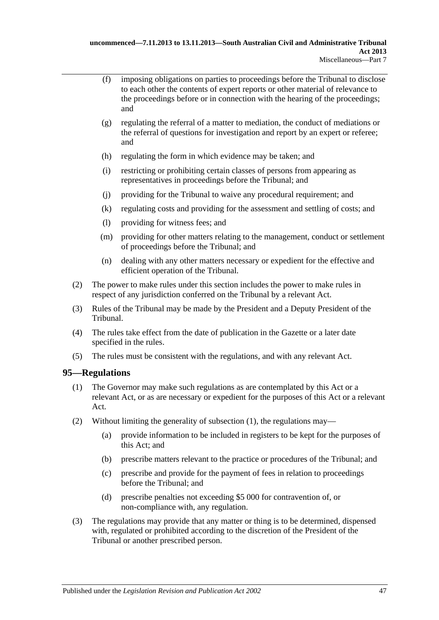- (f) imposing obligations on parties to proceedings before the Tribunal to disclose to each other the contents of expert reports or other material of relevance to the proceedings before or in connection with the hearing of the proceedings; and
- (g) regulating the referral of a matter to mediation, the conduct of mediations or the referral of questions for investigation and report by an expert or referee; and
- (h) regulating the form in which evidence may be taken; and
- (i) restricting or prohibiting certain classes of persons from appearing as representatives in proceedings before the Tribunal; and
- (j) providing for the Tribunal to waive any procedural requirement; and
- (k) regulating costs and providing for the assessment and settling of costs; and
- (l) providing for witness fees; and
- (m) providing for other matters relating to the management, conduct or settlement of proceedings before the Tribunal; and
- (n) dealing with any other matters necessary or expedient for the effective and efficient operation of the Tribunal.
- (2) The power to make rules under this section includes the power to make rules in respect of any jurisdiction conferred on the Tribunal by a relevant Act.
- (3) Rules of the Tribunal may be made by the President and a Deputy President of the Tribunal.
- (4) The rules take effect from the date of publication in the Gazette or a later date specified in the rules.
- (5) The rules must be consistent with the regulations, and with any relevant Act.

### <span id="page-46-1"></span><span id="page-46-0"></span>**95—Regulations**

- (1) The Governor may make such regulations as are contemplated by this Act or a relevant Act, or as are necessary or expedient for the purposes of this Act or a relevant Act.
- (2) Without limiting the generality of [subsection](#page-46-1) (1), the regulations may—
	- (a) provide information to be included in registers to be kept for the purposes of this Act; and
	- (b) prescribe matters relevant to the practice or procedures of the Tribunal; and
	- (c) prescribe and provide for the payment of fees in relation to proceedings before the Tribunal; and
	- (d) prescribe penalties not exceeding \$5 000 for contravention of, or non-compliance with, any regulation.
- (3) The regulations may provide that any matter or thing is to be determined, dispensed with, regulated or prohibited according to the discretion of the President of the Tribunal or another prescribed person.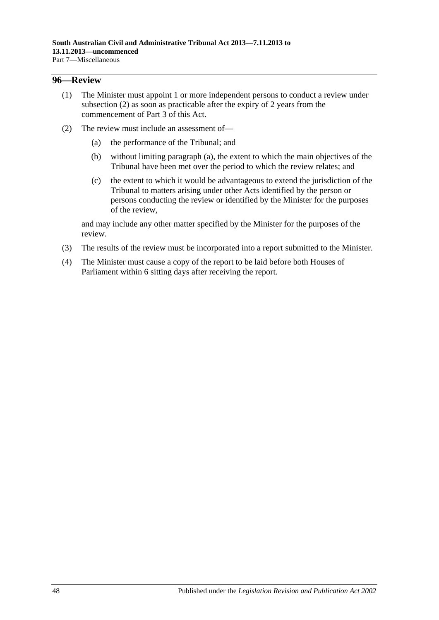#### <span id="page-47-0"></span>**96—Review**

- (1) The Minister must appoint 1 or more independent persons to conduct a review under [subsection](#page-47-1) (2) as soon as practicable after the expiry of 2 years from the commencement of [Part](#page-20-1) 3 of this Act.
- <span id="page-47-2"></span><span id="page-47-1"></span>(2) The review must include an assessment of—
	- (a) the performance of the Tribunal; and
	- (b) without limiting [paragraph](#page-47-2) (a), the extent to which the main objectives of the Tribunal have been met over the period to which the review relates; and
	- (c) the extent to which it would be advantageous to extend the jurisdiction of the Tribunal to matters arising under other Acts identified by the person or persons conducting the review or identified by the Minister for the purposes of the review,

and may include any other matter specified by the Minister for the purposes of the review.

- (3) The results of the review must be incorporated into a report submitted to the Minister.
- (4) The Minister must cause a copy of the report to be laid before both Houses of Parliament within 6 sitting days after receiving the report.